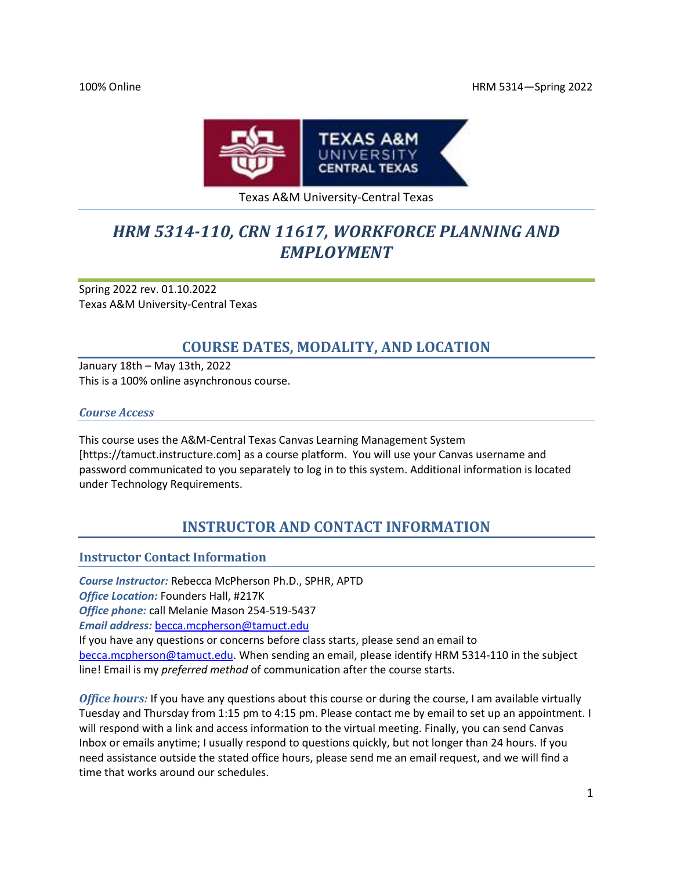

#### Texas A&M University-Central Texas

# *HRM 5314-110, CRN 11617, WORKFORCE PLANNING AND EMPLOYMENT*

Spring 2022 rev. 01.10.2022 Texas A&M University-Central Texas

# **COURSE DATES, MODALITY, AND LOCATION**

January 18th – May 13th, 2022 This is a 100% online asynchronous course.

#### *Course Access*

This course uses the A&M-Central Texas Canvas Learning Management System [https://tamuct.instructure.com] as a course platform. You will use your Canvas username and password communicated to you separately to log in to this system. Additional information is located under Technology Requirements.

# **INSTRUCTOR AND CONTACT INFORMATION**

#### **Instructor Contact Information**

*Course Instructor:* Rebecca McPherson Ph.D., SPHR, APTD *Office Location:* Founders Hall, #217K *Office phone:* call Melanie Mason 254-519-5437 *Email address:* [becca.mcpherson@tamuct.edu](mailto:becca.mcpherson@tamuct.edu) If you have any questions or concerns before class starts, please send an email to [becca.mcpherson@tamuct.edu.](mailto:becca.mcpherson@tamuct.edu) When sending an email, please identify HRM 5314-110 in the subject

line! Email is my *preferred method* of communication after the course starts.

*Office hours:* If you have any questions about this course or during the course, I am available virtually Tuesday and Thursday from 1:15 pm to 4:15 pm. Please contact me by email to set up an appointment. I will respond with a link and access information to the virtual meeting. Finally, you can send Canvas Inbox or emails anytime; I usually respond to questions quickly, but not longer than 24 hours. If you need assistance outside the stated office hours, please send me an email request, and we will find a time that works around our schedules.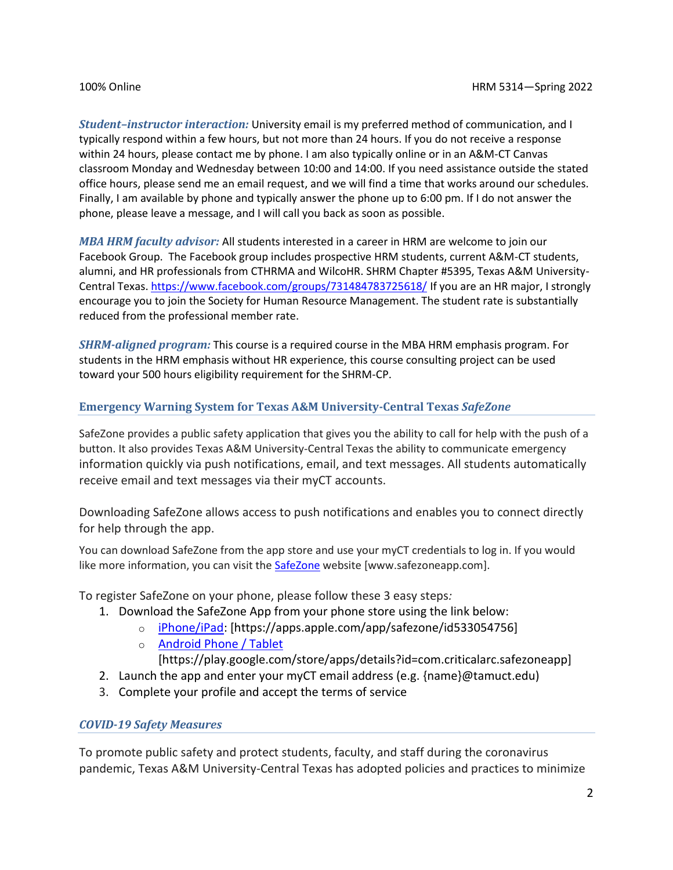*Student–instructor interaction:* University email is my preferred method of communication, and I typically respond within a few hours, but not more than 24 hours. If you do not receive a response within 24 hours, please contact me by phone. I am also typically online or in an A&M-CT Canvas classroom Monday and Wednesday between 10:00 and 14:00. If you need assistance outside the stated office hours, please send me an email request, and we will find a time that works around our schedules. Finally, I am available by phone and typically answer the phone up to 6:00 pm. If I do not answer the phone, please leave a message, and I will call you back as soon as possible.

*MBA HRM faculty advisor:* All students interested in a career in HRM are welcome to join our Facebook Group. The Facebook group includes prospective HRM students, current A&M-CT students, alumni, and HR professionals from CTHRMA and WilcoHR. SHRM Chapter #5395, Texas A&M University-Central Texas. <https://www.facebook.com/groups/731484783725618/> If you are an HR major, I strongly encourage you to join the Society for Human Resource Management. The student rate is substantially reduced from the professional member rate.

*SHRM-aligned program:* This course is a required course in the MBA HRM emphasis program. For students in the HRM emphasis without HR experience, this course consulting project can be used toward your 500 hours eligibility requirement for the SHRM-CP.

### **Emergency Warning System for Texas A&M University-Central Texas** *SafeZone*

SafeZone provides a public safety application that gives you the ability to call for help with the push of a button. It also provides Texas A&M University-Central Texas the ability to communicate emergency information quickly via push notifications, email, and text messages. All students automatically receive email and text messages via their myCT accounts.

Downloading SafeZone allows access to push notifications and enables you to connect directly for help through the app.

You can download SafeZone from the app store and use your myCT credentials to log in. If you would like more information, you can visit the **SafeZone** website [www.safezoneapp.com].

To register SafeZone on your phone, please follow these 3 easy steps*:*

- 1. Download the SafeZone App from your phone store using the link below:
	- o [iPhone/iPad:](https://apps.apple.com/app/safezone/id533054756) [https://apps.apple.com/app/safezone/id533054756]
	- o [Android Phone / Tablet](https://play.google.com/store/apps/details?id=com.criticalarc.safezoneapp)
		- [https://play.google.com/store/apps/details?id=com.criticalarc.safezoneapp]
- 2. Launch the app and enter your myCT email address (e.g. {name}@tamuct.edu)
- 3. Complete your profile and accept the terms of service

### *COVID-19 Safety Measures*

To promote public safety and protect students, faculty, and staff during the coronavirus pandemic, Texas A&M University-Central Texas has adopted policies and practices to minimize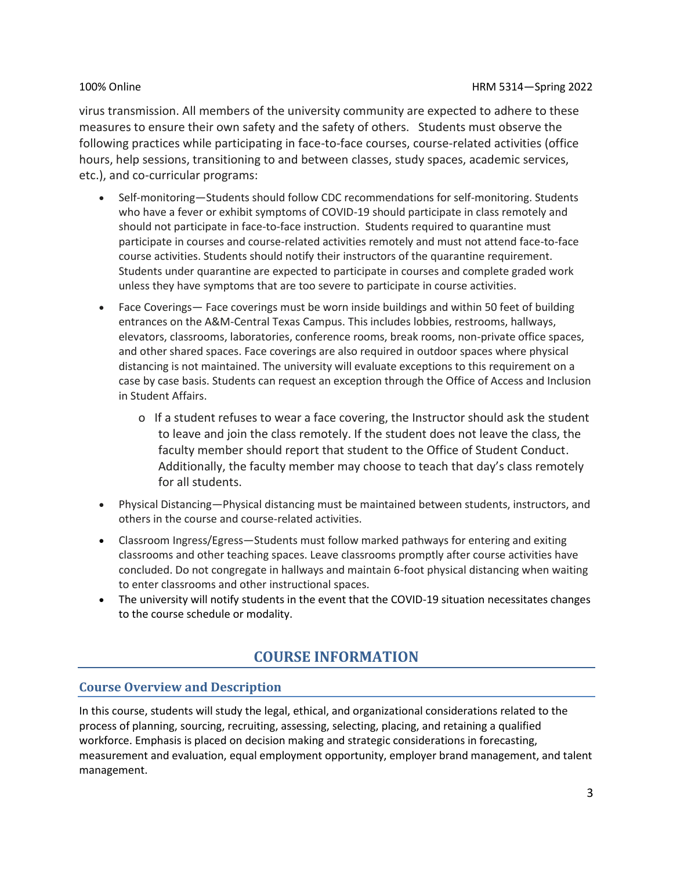virus transmission. All members of the university community are expected to adhere to these measures to ensure their own safety and the safety of others. Students must observe the following practices while participating in face-to-face courses, course-related activities (office hours, help sessions, transitioning to and between classes, study spaces, academic services, etc.), and co-curricular programs:

- Self-monitoring—Students should follow CDC recommendations for self-monitoring. Students who have a fever or exhibit symptoms of COVID-19 should participate in class remotely and should not participate in face-to-face instruction. Students required to quarantine must participate in courses and course-related activities remotely and must not attend face-to-face course activities. Students should notify their instructors of the quarantine requirement. Students under quarantine are expected to participate in courses and complete graded work unless they have symptoms that are too severe to participate in course activities.
- Face Coverings— Face coverings must be worn inside buildings and within 50 feet of building entrances on the A&M-Central Texas Campus. This includes lobbies, restrooms, hallways, elevators, classrooms, laboratories, conference rooms, break rooms, non-private office spaces, and other shared spaces. Face coverings are also required in outdoor spaces where physical distancing is not maintained. The university will evaluate exceptions to this requirement on a case by case basis. Students can request an exception through the Office of Access and Inclusion in Student Affairs.
	- o If a student refuses to wear a face covering, the Instructor should ask the student to leave and join the class remotely. If the student does not leave the class, the faculty member should report that student to the Office of Student Conduct. Additionally, the faculty member may choose to teach that day's class remotely for all students.
- Physical Distancing—Physical distancing must be maintained between students, instructors, and others in the course and course-related activities.
- Classroom Ingress/Egress—Students must follow marked pathways for entering and exiting classrooms and other teaching spaces. Leave classrooms promptly after course activities have concluded. Do not congregate in hallways and maintain 6-foot physical distancing when waiting to enter classrooms and other instructional spaces.
- The university will notify students in the event that the COVID-19 situation necessitates changes to the course schedule or modality.

# **COURSE INFORMATION**

### **Course Overview and Description**

In this course, students will study the legal, ethical, and organizational considerations related to the process of planning, sourcing, recruiting, assessing, selecting, placing, and retaining a qualified workforce. Emphasis is placed on decision making and strategic considerations in forecasting, measurement and evaluation, equal employment opportunity, employer brand management, and talent management.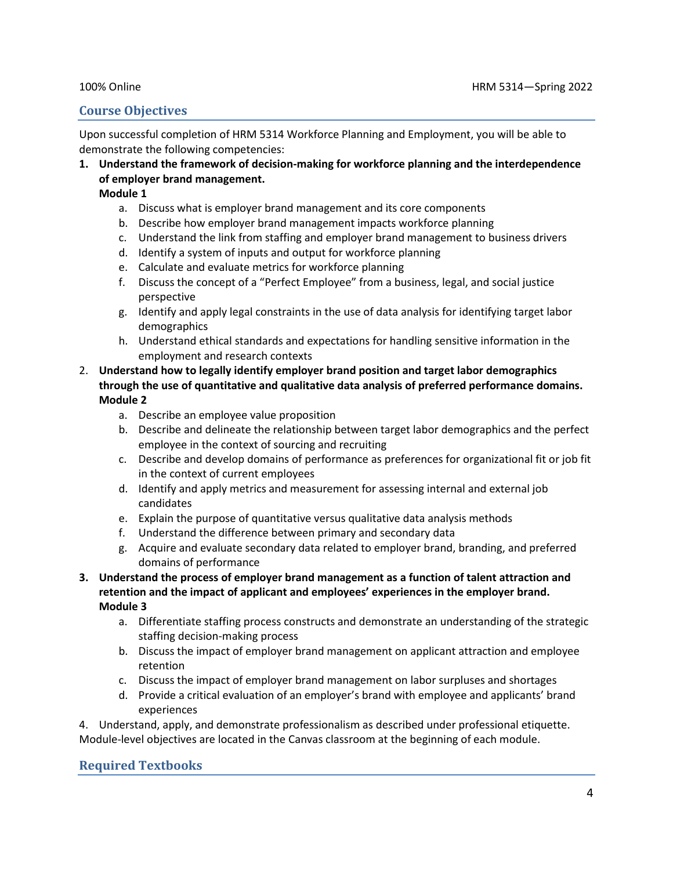### **Course Objectives**

Upon successful completion of HRM 5314 Workforce Planning and Employment, you will be able to demonstrate the following competencies:

**1. Understand the framework of decision-making for workforce planning and the interdependence of employer brand management.** 

#### **Module 1**

- a. Discuss what is employer brand management and its core components
- b. Describe how employer brand management impacts workforce planning
- c. Understand the link from staffing and employer brand management to business drivers
- d. Identify a system of inputs and output for workforce planning
- e. Calculate and evaluate metrics for workforce planning
- f. Discuss the concept of a "Perfect Employee" from a business, legal, and social justice perspective
- g. Identify and apply legal constraints in the use of data analysis for identifying target labor demographics
- h. Understand ethical standards and expectations for handling sensitive information in the employment and research contexts
- 2. **Understand how to legally identify employer brand position and target labor demographics through the use of quantitative and qualitative data analysis of preferred performance domains. Module 2**
	- a. Describe an employee value proposition
	- b. Describe and delineate the relationship between target labor demographics and the perfect employee in the context of sourcing and recruiting
	- c. Describe and develop domains of performance as preferences for organizational fit or job fit in the context of current employees
	- d. Identify and apply metrics and measurement for assessing internal and external job candidates
	- e. Explain the purpose of quantitative versus qualitative data analysis methods
	- f. Understand the difference between primary and secondary data
	- g. Acquire and evaluate secondary data related to employer brand, branding, and preferred domains of performance
- **3. Understand the process of employer brand management as a function of talent attraction and retention and the impact of applicant and employees' experiences in the employer brand. Module 3**
	- a. Differentiate staffing process constructs and demonstrate an understanding of the strategic staffing decision-making process
	- b. Discuss the impact of employer brand management on applicant attraction and employee retention
	- c. Discuss the impact of employer brand management on labor surpluses and shortages
	- d. Provide a critical evaluation of an employer's brand with employee and applicants' brand experiences

4. Understand, apply, and demonstrate professionalism as described under professional etiquette. Module-level objectives are located in the Canvas classroom at the beginning of each module.

### **Required Textbooks**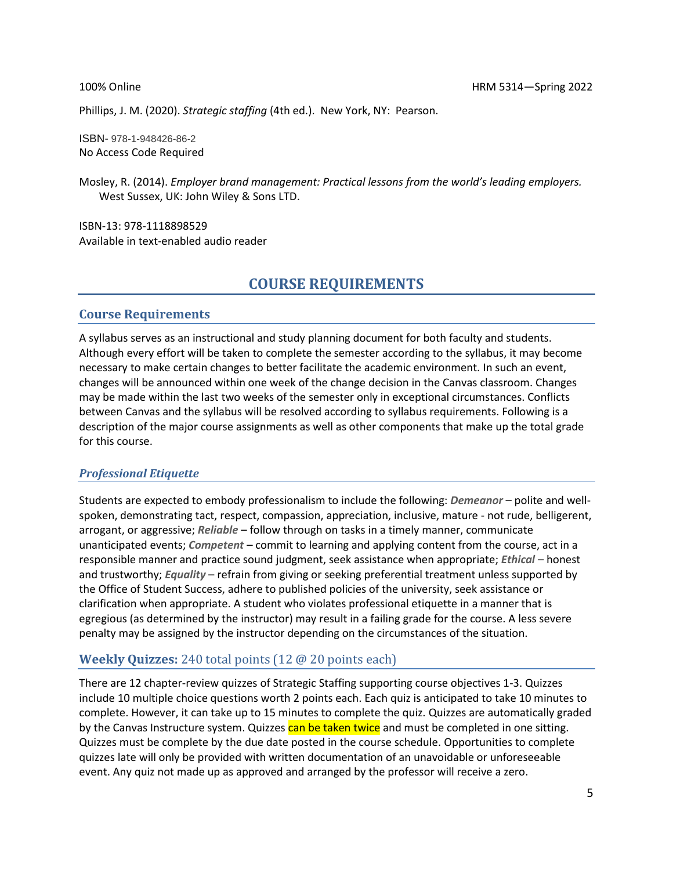Phillips, J. M. (2020). *Strategic staffing* (4th ed.). New York, NY: Pearson.

ISBN- 978-1-948426-86-2 No Access Code Required

Mosley, R. (2014). *Employer brand management: Practical lessons from the world's leading employers.* West Sussex, UK: John Wiley & Sons LTD.

ISBN-13: 978-1118898529 Available in text-enabled audio reader

## **COURSE REQUIREMENTS**

#### **Course Requirements**

A syllabus serves as an instructional and study planning document for both faculty and students. Although every effort will be taken to complete the semester according to the syllabus, it may become necessary to make certain changes to better facilitate the academic environment. In such an event, changes will be announced within one week of the change decision in the Canvas classroom. Changes may be made within the last two weeks of the semester only in exceptional circumstances. Conflicts between Canvas and the syllabus will be resolved according to syllabus requirements. Following is a description of the major course assignments as well as other components that make up the total grade for this course.

#### *Professional Etiquette*

Students are expected to embody professionalism to include the following: *Demeanor* – polite and wellspoken, demonstrating tact, respect, compassion, appreciation, inclusive, mature - not rude, belligerent, arrogant, or aggressive; *Reliable* – follow through on tasks in a timely manner, communicate unanticipated events; *Competent* – commit to learning and applying content from the course, act in a responsible manner and practice sound judgment, seek assistance when appropriate; *Ethical* – honest and trustworthy; *Equality* – refrain from giving or seeking preferential treatment unless supported by the Office of Student Success, adhere to published policies of the university, seek assistance or clarification when appropriate. A student who violates professional etiquette in a manner that is egregious (as determined by the instructor) may result in a failing grade for the course. A less severe penalty may be assigned by the instructor depending on the circumstances of the situation.

### **Weekly Quizzes:** 240 total points (12 @ 20 points each)

There are 12 chapter-review quizzes of Strategic Staffing supporting course objectives 1-3. Quizzes include 10 multiple choice questions worth 2 points each. Each quiz is anticipated to take 10 minutes to complete. However, it can take up to 15 minutes to complete the quiz. Quizzes are automatically graded by the Canvas Instructure system. Quizzes can be taken twice and must be completed in one sitting. Quizzes must be complete by the due date posted in the course schedule. Opportunities to complete quizzes late will only be provided with written documentation of an unavoidable or unforeseeable event. Any quiz not made up as approved and arranged by the professor will receive a zero.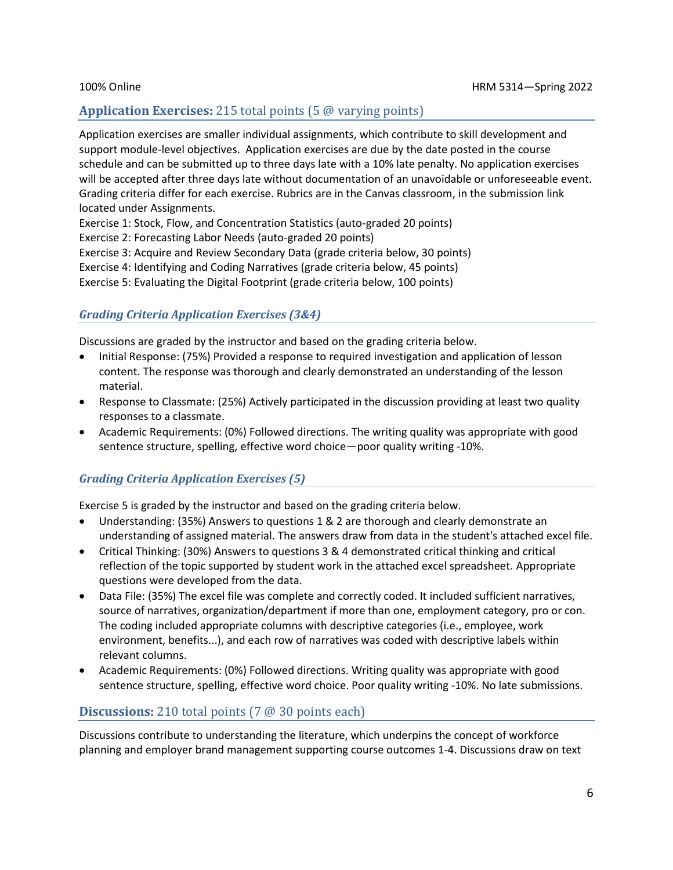### **Application Exercises:** 215 total points (5 @ varying points)

Application exercises are smaller individual assignments, which contribute to skill development and support module-level objectives. Application exercises are due by the date posted in the course schedule and can be submitted up to three days late with a 10% late penalty. No application exercises will be accepted after three days late without documentation of an unavoidable or unforeseeable event. Grading criteria differ for each exercise. Rubrics are in the Canvas classroom, in the submission link located under Assignments.

Exercise 1: Stock, Flow, and Concentration Statistics (auto-graded 20 points)

Exercise 2: Forecasting Labor Needs (auto-graded 20 points)

Exercise 3: Acquire and Review Secondary Data (grade criteria below, 30 points)

Exercise 4: Identifying and Coding Narratives (grade criteria below, 45 points)

Exercise 5: Evaluating the Digital Footprint (grade criteria below, 100 points)

### *Grading Criteria Application Exercises (3&4)*

Discussions are graded by the instructor and based on the grading criteria below.

- Initial Response: (75%) Provided a response to required investigation and application of lesson content. The response was thorough and clearly demonstrated an understanding of the lesson material.
- Response to Classmate: (25%) Actively participated in the discussion providing at least two quality responses to a classmate.
- Academic Requirements: (0%) Followed directions. The writing quality was appropriate with good sentence structure, spelling, effective word choice—poor quality writing -10%.

### *Grading Criteria Application Exercises (5)*

Exercise 5 is graded by the instructor and based on the grading criteria below.

- Understanding: (35%) Answers to questions 1 & 2 are thorough and clearly demonstrate an understanding of assigned material. The answers draw from data in the student's attached excel file.
- Critical Thinking: (30%) Answers to questions 3 & 4 demonstrated critical thinking and critical reflection of the topic supported by student work in the attached excel spreadsheet. Appropriate questions were developed from the data.
- Data File: (35%) The excel file was complete and correctly coded. It included sufficient narratives, source of narratives, organization/department if more than one, employment category, pro or con. The coding included appropriate columns with descriptive categories (i.e., employee, work environment, benefits...), and each row of narratives was coded with descriptive labels within relevant columns.
- Academic Requirements: (0%) Followed directions. Writing quality was appropriate with good sentence structure, spelling, effective word choice. Poor quality writing -10%. No late submissions.

### **Discussions:** 210 total points (7 @ 30 points each)

Discussions contribute to understanding the literature, which underpins the concept of workforce planning and employer brand management supporting course outcomes 1-4. Discussions draw on text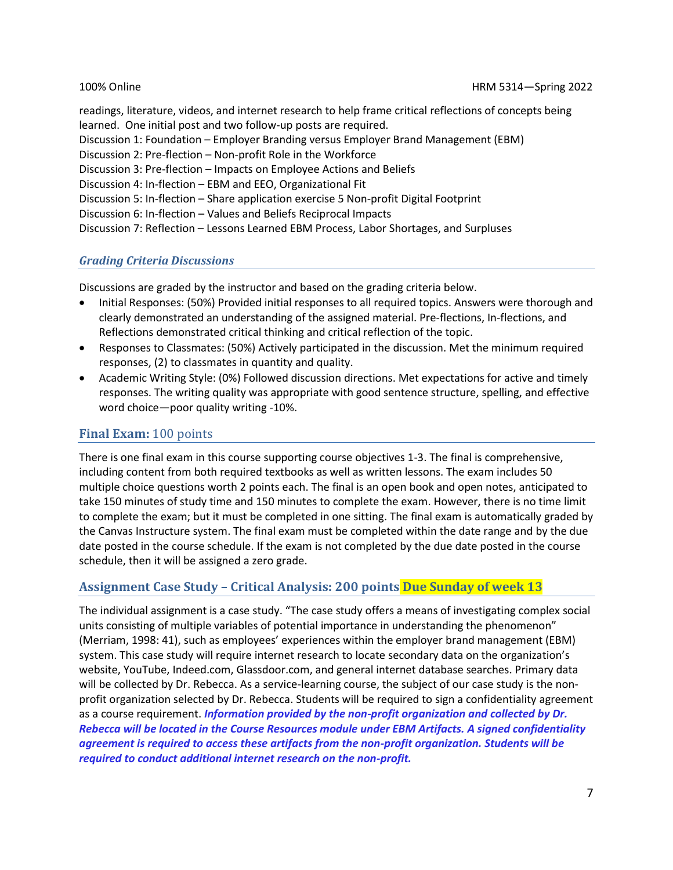readings, literature, videos, and internet research to help frame critical reflections of concepts being learned. One initial post and two follow-up posts are required. Discussion 1: Foundation – Employer Branding versus Employer Brand Management (EBM) Discussion 2: Pre-flection – Non-profit Role in the Workforce Discussion 3: Pre-flection – Impacts on Employee Actions and Beliefs Discussion 4: In-flection – EBM and EEO, Organizational Fit Discussion 5: In-flection – Share application exercise 5 Non-profit Digital Footprint Discussion 6: In-flection – Values and Beliefs Reciprocal Impacts Discussion 7: Reflection – Lessons Learned EBM Process, Labor Shortages, and Surpluses

#### *Grading Criteria Discussions*

Discussions are graded by the instructor and based on the grading criteria below.

- Initial Responses: (50%) Provided initial responses to all required topics. Answers were thorough and clearly demonstrated an understanding of the assigned material. Pre-flections, In-flections, and Reflections demonstrated critical thinking and critical reflection of the topic.
- Responses to Classmates: (50%) Actively participated in the discussion. Met the minimum required responses, (2) to classmates in quantity and quality.
- Academic Writing Style: (0%) Followed discussion directions. Met expectations for active and timely responses. The writing quality was appropriate with good sentence structure, spelling, and effective word choice—poor quality writing -10%.

### **Final Exam:** 100 points

There is one final exam in this course supporting course objectives 1-3. The final is comprehensive, including content from both required textbooks as well as written lessons. The exam includes 50 multiple choice questions worth 2 points each. The final is an open book and open notes, anticipated to take 150 minutes of study time and 150 minutes to complete the exam. However, there is no time limit to complete the exam; but it must be completed in one sitting. The final exam is automatically graded by the Canvas Instructure system. The final exam must be completed within the date range and by the due date posted in the course schedule. If the exam is not completed by the due date posted in the course schedule, then it will be assigned a zero grade.

### **Assignment Case Study – Critical Analysis: 200 points Due Sunday of week 13**

The individual assignment is a case study. "The case study offers a means of investigating complex social units consisting of multiple variables of potential importance in understanding the phenomenon" (Merriam, 1998: 41), such as employees' experiences within the employer brand management (EBM) system. This case study will require internet research to locate secondary data on the organization's website, YouTube, Indeed.com, Glassdoor.com, and general internet database searches. Primary data will be collected by Dr. Rebecca. As a service-learning course, the subject of our case study is the nonprofit organization selected by Dr. Rebecca. Students will be required to sign a confidentiality agreement as a course requirement. *Information provided by the non-profit organization and collected by Dr. Rebecca will be located in the Course Resources module under EBM Artifacts. A signed confidentiality agreement is required to access these artifacts from the non-profit organization. Students will be required to conduct additional internet research on the non-profit.*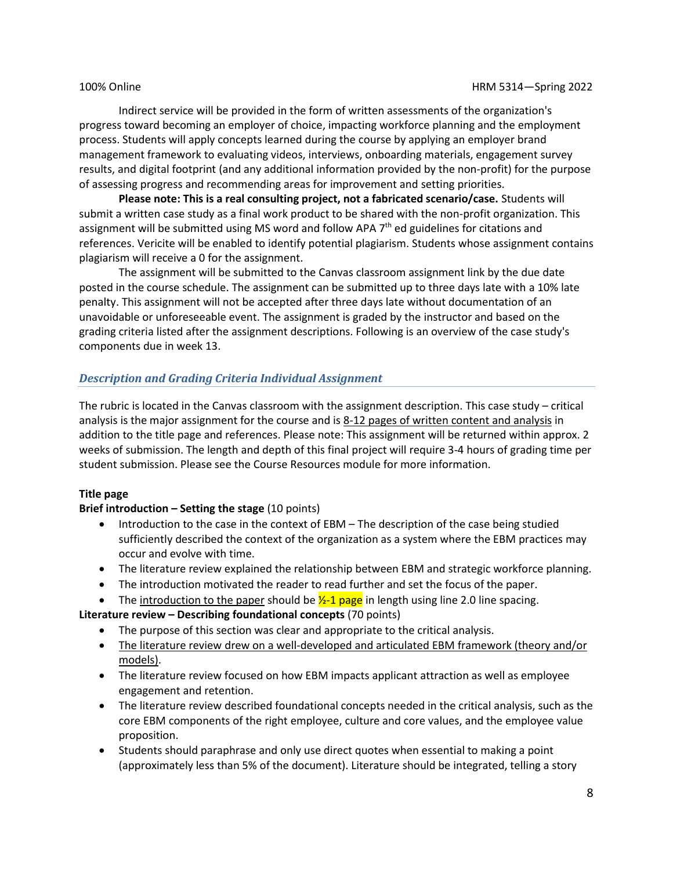Indirect service will be provided in the form of written assessments of the organization's progress toward becoming an employer of choice, impacting workforce planning and the employment process. Students will apply concepts learned during the course by applying an employer brand management framework to evaluating videos, interviews, onboarding materials, engagement survey results, and digital footprint (and any additional information provided by the non-profit) for the purpose of assessing progress and recommending areas for improvement and setting priorities.

**Please note: This is a real consulting project, not a fabricated scenario/case.** Students will submit a written case study as a final work product to be shared with the non-profit organization. This assignment will be submitted using MS word and follow APA 7<sup>th</sup> ed guidelines for citations and references. Vericite will be enabled to identify potential plagiarism. Students whose assignment contains plagiarism will receive a 0 for the assignment.

The assignment will be submitted to the Canvas classroom assignment link by the due date posted in the course schedule. The assignment can be submitted up to three days late with a 10% late penalty. This assignment will not be accepted after three days late without documentation of an unavoidable or unforeseeable event. The assignment is graded by the instructor and based on the grading criteria listed after the assignment descriptions. Following is an overview of the case study's components due in week 13.

#### *Description and Grading Criteria Individual Assignment*

The rubric is located in the Canvas classroom with the assignment description. This case study – critical analysis is the major assignment for the course and is 8-12 pages of written content and analysis in addition to the title page and references. Please note: This assignment will be returned within approx. 2 weeks of submission. The length and depth of this final project will require 3-4 hours of grading time per student submission. Please see the Course Resources module for more information.

#### **Title page**

#### **Brief introduction – Setting the stage** (10 points)

- Introduction to the case in the context of EBM The description of the case being studied sufficiently described the context of the organization as a system where the EBM practices may occur and evolve with time.
- The literature review explained the relationship between EBM and strategic workforce planning.
- The introduction motivated the reader to read further and set the focus of the paper.
- The introduction to the paper should be  $\frac{1}{2}$ -1 page in length using line 2.0 line spacing.

**Literature review – Describing foundational concepts** (70 points)

- The purpose of this section was clear and appropriate to the critical analysis.
- The literature review drew on a well-developed and articulated EBM framework (theory and/or models).
- The literature review focused on how EBM impacts applicant attraction as well as employee engagement and retention.
- The literature review described foundational concepts needed in the critical analysis, such as the core EBM components of the right employee, culture and core values, and the employee value proposition.
- Students should paraphrase and only use direct quotes when essential to making a point (approximately less than 5% of the document). Literature should be integrated, telling a story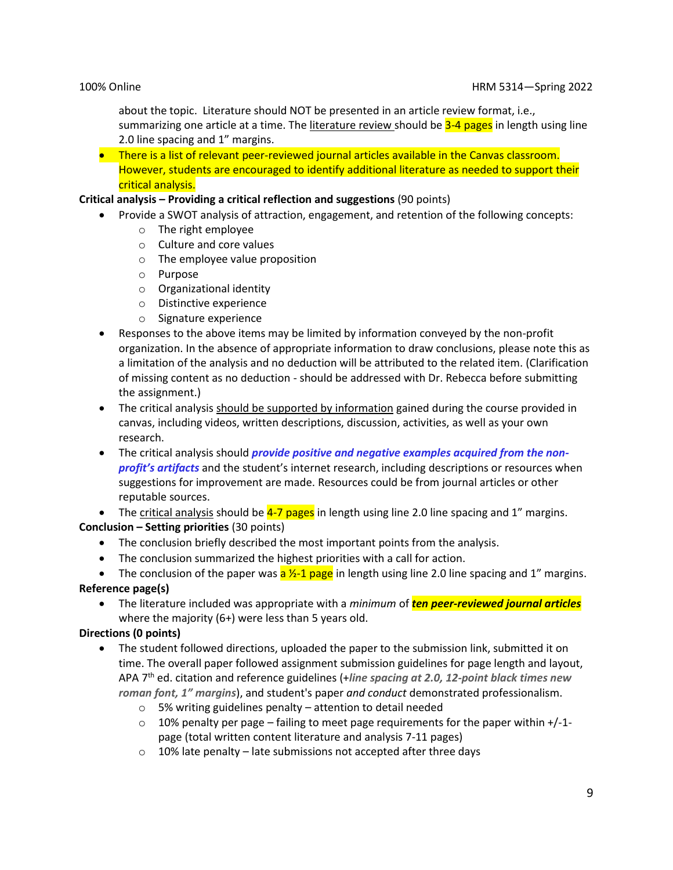about the topic. Literature should NOT be presented in an article review format, i.e., summarizing one article at a time. The literature review should be 3-4 pages in length using line 2.0 line spacing and 1" margins.

• There is a list of relevant peer-reviewed journal articles available in the Canvas classroom. However, students are encouraged to identify additional literature as needed to support their critical analysis.

#### **Critical analysis – Providing a critical reflection and suggestions** (90 points)

- Provide a SWOT analysis of attraction, engagement, and retention of the following concepts:
	- o The right employee
	- o Culture and core values
	- o The employee value proposition
	- o Purpose
	- o Organizational identity
	- o Distinctive experience
	- o Signature experience
- Responses to the above items may be limited by information conveyed by the non-profit organization. In the absence of appropriate information to draw conclusions, please note this as a limitation of the analysis and no deduction will be attributed to the related item. (Clarification of missing content as no deduction - should be addressed with Dr. Rebecca before submitting the assignment.)
- The critical analysis should be supported by information gained during the course provided in canvas, including videos, written descriptions, discussion, activities, as well as your own research.
- The critical analysis should *provide positive and negative examples acquired from the nonprofit's artifacts* and the student's internet research, including descriptions or resources when suggestions for improvement are made. Resources could be from journal articles or other reputable sources.

• The critical analysis should be  $4-7$  pages in length using line 2.0 line spacing and 1" margins. **Conclusion – Setting priorities** (30 points)

- The conclusion briefly described the most important points from the analysis.
- The conclusion summarized the highest priorities with a call for action.

• The conclusion of the paper was  $a \frac{1}{2}a \frac{1}{2}$  page in length using line 2.0 line spacing and 1" margins. **Reference page(s)**

• The literature included was appropriate with a *minimum* of *ten peer-reviewed journal articles* where the majority (6+) were less than 5 years old.

#### **Directions (0 points)**

- The student followed directions, uploaded the paper to the submission link, submitted it on time. The overall paper followed assignment submission guidelines for page length and layout, APA 7 th ed. citation and reference guidelines (+*line spacing at 2.0, 12-point black times new roman font, 1" margins*), and student's paper *and conduct* demonstrated professionalism.
	- o 5% writing guidelines penalty attention to detail needed
	- $\circ$  10% penalty per page failing to meet page requirements for the paper within +/-1page (total written content literature and analysis 7-11 pages)
	- $\circ$  10% late penalty late submissions not accepted after three days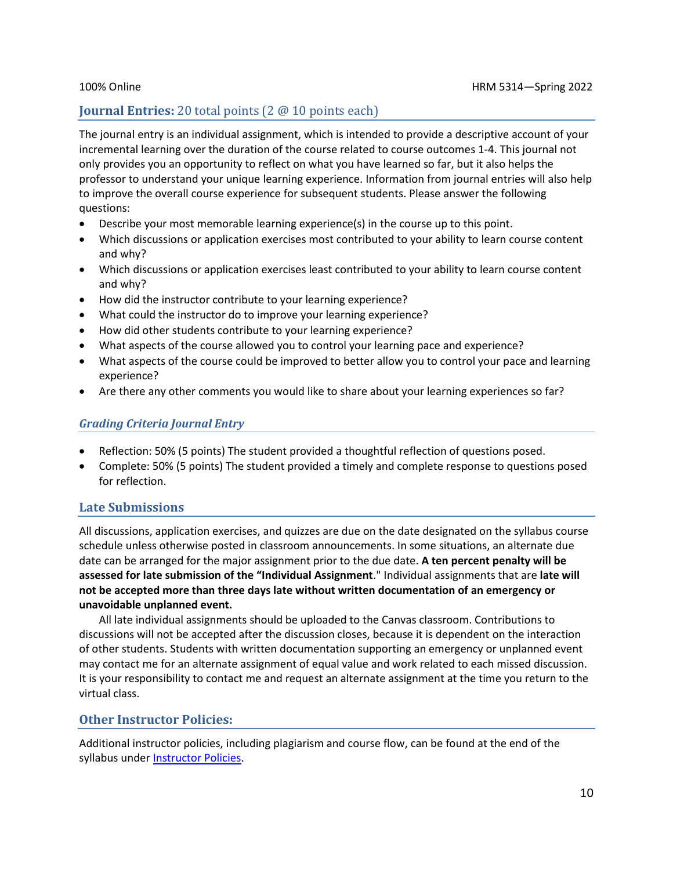### **Journal Entries:** 20 total points (2 @ 10 points each)

The journal entry is an individual assignment, which is intended to provide a descriptive account of your incremental learning over the duration of the course related to course outcomes 1-4. This journal not only provides you an opportunity to reflect on what you have learned so far, but it also helps the professor to understand your unique learning experience. Information from journal entries will also help to improve the overall course experience for subsequent students. Please answer the following questions:

- Describe your most memorable learning experience(s) in the course up to this point.
- Which discussions or application exercises most contributed to your ability to learn course content and why?
- Which discussions or application exercises least contributed to your ability to learn course content and why?
- How did the instructor contribute to your learning experience?
- What could the instructor do to improve your learning experience?
- How did other students contribute to your learning experience?
- What aspects of the course allowed you to control your learning pace and experience?
- What aspects of the course could be improved to better allow you to control your pace and learning experience?
- Are there any other comments you would like to share about your learning experiences so far?

### *Grading Criteria Journal Entry*

- Reflection: 50% (5 points) The student provided a thoughtful reflection of questions posed.
- Complete: 50% (5 points) The student provided a timely and complete response to questions posed for reflection.

### **Late Submissions**

All discussions, application exercises, and quizzes are due on the date designated on the syllabus course schedule unless otherwise posted in classroom announcements. In some situations, an alternate due date can be arranged for the major assignment prior to the due date. **A ten percent penalty will be assessed for late submission of the "Individual Assignment**." Individual assignments that are **late will not be accepted more than three days late without written documentation of an emergency or unavoidable unplanned event.**

All late individual assignments should be uploaded to the Canvas classroom. Contributions to discussions will not be accepted after the discussion closes, because it is dependent on the interaction of other students. Students with written documentation supporting an emergency or unplanned event may contact me for an alternate assignment of equal value and work related to each missed discussion. It is your responsibility to contact me and request an alternate assignment at the time you return to the virtual class.

### **Other Instructor Policies:**

Additional instructor policies, including plagiarism and course flow, can be found at the end of the syllabus under **Instructor Policies**.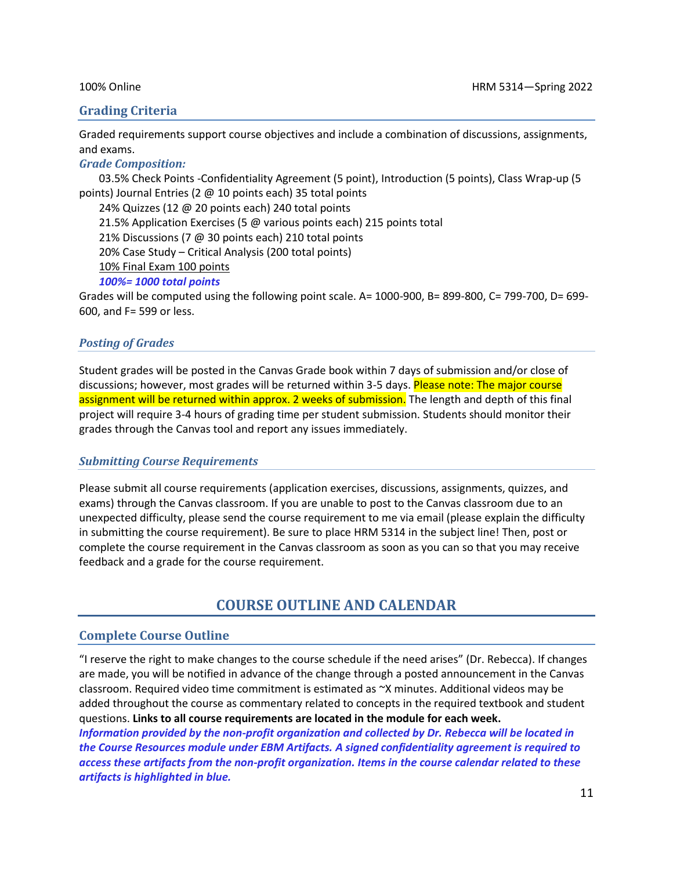### **Grading Criteria**

Graded requirements support course objectives and include a combination of discussions, assignments, and exams.

*Grade Composition:*

03.5% Check Points -Confidentiality Agreement (5 point), Introduction (5 points), Class Wrap-up (5 points) Journal Entries (2 @ 10 points each) 35 total points

24% Quizzes (12 @ 20 points each) 240 total points

21.5% Application Exercises (5 @ various points each) 215 points total

21% Discussions (7 @ 30 points each) 210 total points

20% Case Study – Critical Analysis (200 total points)

10% Final Exam 100 points

*100%= 1000 total points*

Grades will be computed using the following point scale. A= 1000-900, B= 899-800, C= 799-700, D= 699- 600, and F= 599 or less.

#### *Posting of Grades*

Student grades will be posted in the Canvas Grade book within 7 days of submission and/or close of discussions; however, most grades will be returned within 3-5 days. Please note: The major course assignment will be returned within approx. 2 weeks of submission. The length and depth of this final project will require 3-4 hours of grading time per student submission. Students should monitor their grades through the Canvas tool and report any issues immediately.

#### *Submitting Course Requirements*

Please submit all course requirements (application exercises, discussions, assignments, quizzes, and exams) through the Canvas classroom. If you are unable to post to the Canvas classroom due to an unexpected difficulty, please send the course requirement to me via email (please explain the difficulty in submitting the course requirement). Be sure to place HRM 5314 in the subject line! Then, post or complete the course requirement in the Canvas classroom as soon as you can so that you may receive feedback and a grade for the course requirement.

# **COURSE OUTLINE AND CALENDAR**

### **Complete Course Outline**

"I reserve the right to make changes to the course schedule if the need arises" (Dr. Rebecca). If changes are made, you will be notified in advance of the change through a posted announcement in the Canvas classroom. Required video time commitment is estimated as ~X minutes. Additional videos may be added throughout the course as commentary related to concepts in the required textbook and student questions. **Links to all course requirements are located in the module for each week.**  *Information provided by the non-profit organization and collected by Dr. Rebecca will be located in the Course Resources module under EBM Artifacts. A signed confidentiality agreement is required to access these artifacts from the non-profit organization. Items in the course calendar related to these artifacts is highlighted in blue.*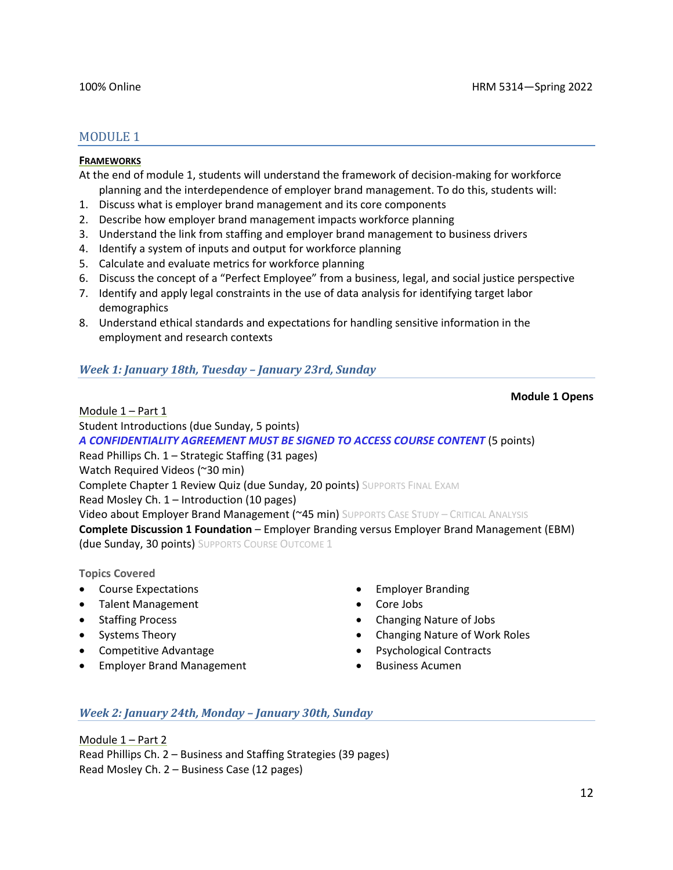### MODULE 1

#### **FRAMEWORKS**

At the end of module 1, students will understand the framework of decision-making for workforce planning and the interdependence of employer brand management. To do this, students will:

- 1. Discuss what is employer brand management and its core components
- 2. Describe how employer brand management impacts workforce planning
- 3. Understand the link from staffing and employer brand management to business drivers
- 4. Identify a system of inputs and output for workforce planning
- 5. Calculate and evaluate metrics for workforce planning
- 6. Discuss the concept of a "Perfect Employee" from a business, legal, and social justice perspective
- 7. Identify and apply legal constraints in the use of data analysis for identifying target labor demographics
- 8. Understand ethical standards and expectations for handling sensitive information in the employment and research contexts

#### *Week 1: January 18th, Tuesday – January 23rd, Sunday*

#### **Module 1 Opens**

Module 1 – Part 1

Student Introductions (due Sunday, 5 points)

*A CONFIDENTIALITY AGREEMENT MUST BE SIGNED TO ACCESS COURSE CONTENT* (5 points)

Read Phillips Ch. 1 – Strategic Staffing (31 pages)

Watch Required Videos (~30 min)

Complete Chapter 1 Review Quiz (due Sunday, 20 points) SUPPORTS FINAL EXAM

Read Mosley Ch. 1 – Introduction (10 pages)

Video about Employer Brand Management (~45 min) SUPPORTS CASE STUDY - CRITICAL ANALYSIS

**Complete Discussion 1 Foundation** – Employer Branding versus Employer Brand Management (EBM) (due Sunday, 30 points) SUPPORTS COURSE OUTCOME 1

#### **Topics Covered**

- Course Expectations
- Talent Management
- Staffing Process
- Systems Theory
- Competitive Advantage
- Employer Brand Management
- Employer Branding
- Core Jobs
- Changing Nature of Jobs
- Changing Nature of Work Roles
- Psychological Contracts
- Business Acumen

#### *Week 2: January 24th, Monday – January 30th, Sunday*

Module 1 – Part 2 Read Phillips Ch. 2 – Business and Staffing Strategies (39 pages) Read Mosley Ch. 2 – Business Case (12 pages)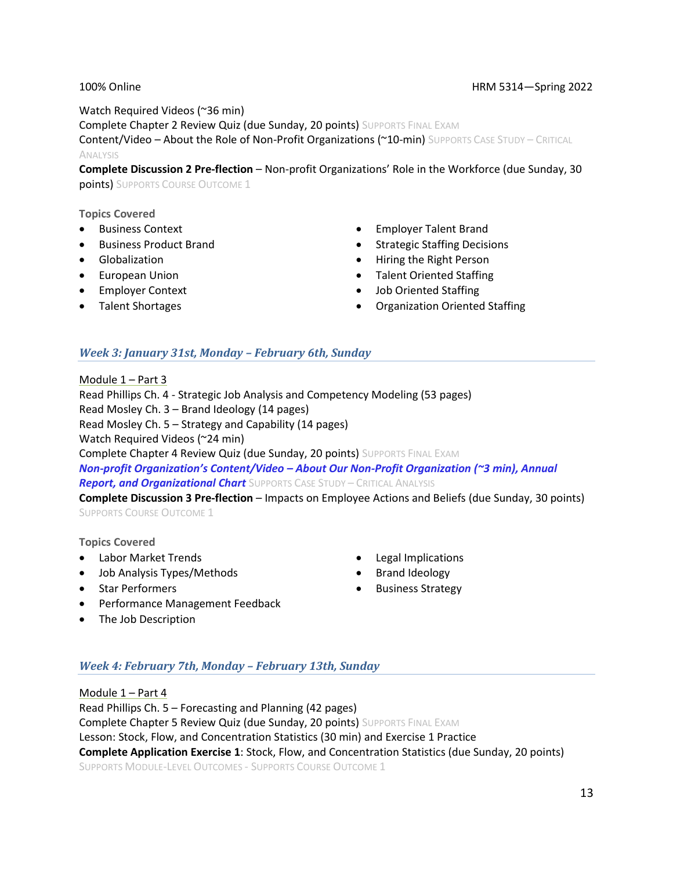#### 100% Online HRM 5314—Spring 2022

Watch Required Videos (~36 min) Complete Chapter 2 Review Quiz (due Sunday, 20 points) SUPPORTS FINAL EXAM Content/Video – About the Role of Non-Profit Organizations (~10-min) SUPPORTS CASE STUDY – CRITICAL ANALYSIS

**Complete Discussion 2 Pre-flection** – Non-profit Organizations' Role in the Workforce (due Sunday, 30 points) SUPPORTS COURSE OUTCOME 1

#### **Topics Covered**

- Business Context
- Business Product Brand
- Globalization
- European Union
- Employer Context
- Talent Shortages
- Employer Talent Brand
- Strategic Staffing Decisions
- Hiring the Right Person
- Talent Oriented Staffing
- Job Oriented Staffing
- Organization Oriented Staffing

#### *Week 3: January 31st, Monday – February 6th, Sunday*

Module 1 – Part 3 Read Phillips Ch. 4 - Strategic Job Analysis and Competency Modeling (53 pages) Read Mosley Ch. 3 – Brand Ideology (14 pages) Read Mosley Ch. 5 – Strategy and Capability (14 pages) Watch Required Videos (~24 min) Complete Chapter 4 Review Quiz (due Sunday, 20 points) SUPPORTS FINAL EXAM *Non-profit Organization's Content/Video – About Our Non-Profit Organization (~3 min), Annual Report, and Organizational Chart* SUPPORTS CASE STUDY – CRITICAL ANALYSIS **Complete Discussion 3 Pre-flection** – Impacts on Employee Actions and Beliefs (due Sunday, 30 points)

SUPPORTS COURSE OUTCOME 1

#### **Topics Covered**

- Labor Market Trends
- Job Analysis Types/Methods
- Legal Implications
- Brand Ideology
- Business Strategy
- Star Performers
- Performance Management Feedback
- The Job Description

#### *Week 4: February 7th, Monday – February 13th, Sunday*

Module 1 – Part 4 Read Phillips Ch. 5 – Forecasting and Planning (42 pages) Complete Chapter 5 Review Quiz (due Sunday, 20 points) SUPPORTS FINAL EXAM Lesson: Stock, Flow, and Concentration Statistics (30 min) and Exercise 1 Practice **Complete Application Exercise 1**: Stock, Flow, and Concentration Statistics (due Sunday, 20 points) SUPPORTS MODULE-LEVEL OUTCOMES - SUPPORTS COURSE OUTCOME 1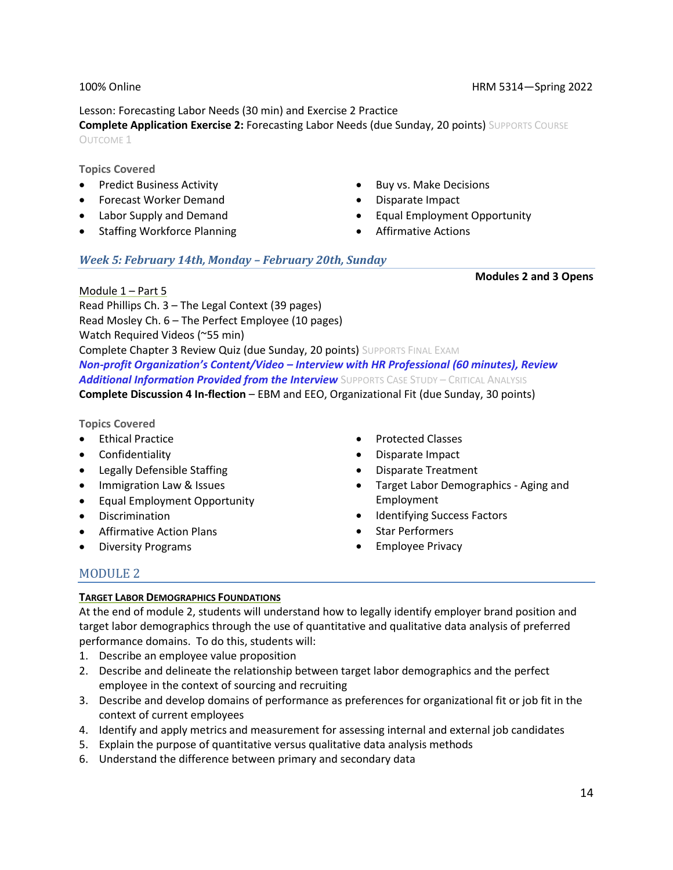#### Lesson: Forecasting Labor Needs (30 min) and Exercise 2 Practice

**Complete Application Exercise 2:** Forecasting Labor Needs (due Sunday, 20 points) SUPPORTS COURSE OUTCOME 1

**Topics Covered**

- Predict Business Activity
- Forecast Worker Demand
- Labor Supply and Demand
- Staffing Workforce Planning
- Buy vs. Make Decisions
- Disparate Impact
- Equal Employment Opportunity
- Affirmative Actions

#### *Week 5: February 14th, Monday – February 20th, Sunday*

**Modules 2 and 3 Opens**

Module 1 – Part 5 Read Phillips Ch. 3 – The Legal Context (39 pages) Read Mosley Ch. 6 – The Perfect Employee (10 pages) Watch Required Videos (~55 min) Complete Chapter 3 Review Quiz (due Sunday, 20 points) SUPPORTS FINAL EXAM *Non-profit Organization's Content/Video – Interview with HR Professional (60 minutes), Review Additional Information Provided from the Interview* SUPPORTS CASE STUDY – CRITICAL ANALYSIS **Complete Discussion 4 In-flection** – EBM and EEO, Organizational Fit (due Sunday, 30 points)

**Topics Covered**

- Ethical Practice
- Confidentiality
- Legally Defensible Staffing
- Immigration Law & Issues
- Equal Employment Opportunity
- Discrimination
- Affirmative Action Plans
- Diversity Programs
- Protected Classes
- Disparate Impact
- Disparate Treatment
- Target Labor Demographics Aging and Employment
- Identifying Success Factors
- Star Performers
- Employee Privacy

### MODULE 2

#### **TARGET LABOR DEMOGRAPHICS FOUNDATIONS**

At the end of module 2, students will understand how to legally identify employer brand position and target labor demographics through the use of quantitative and qualitative data analysis of preferred performance domains. To do this, students will:

- 1. Describe an employee value proposition
- 2. Describe and delineate the relationship between target labor demographics and the perfect employee in the context of sourcing and recruiting
- 3. Describe and develop domains of performance as preferences for organizational fit or job fit in the context of current employees
- 4. Identify and apply metrics and measurement for assessing internal and external job candidates
- 5. Explain the purpose of quantitative versus qualitative data analysis methods
- 6. Understand the difference between primary and secondary data

#### 100% Online HRM 5314—Spring 2022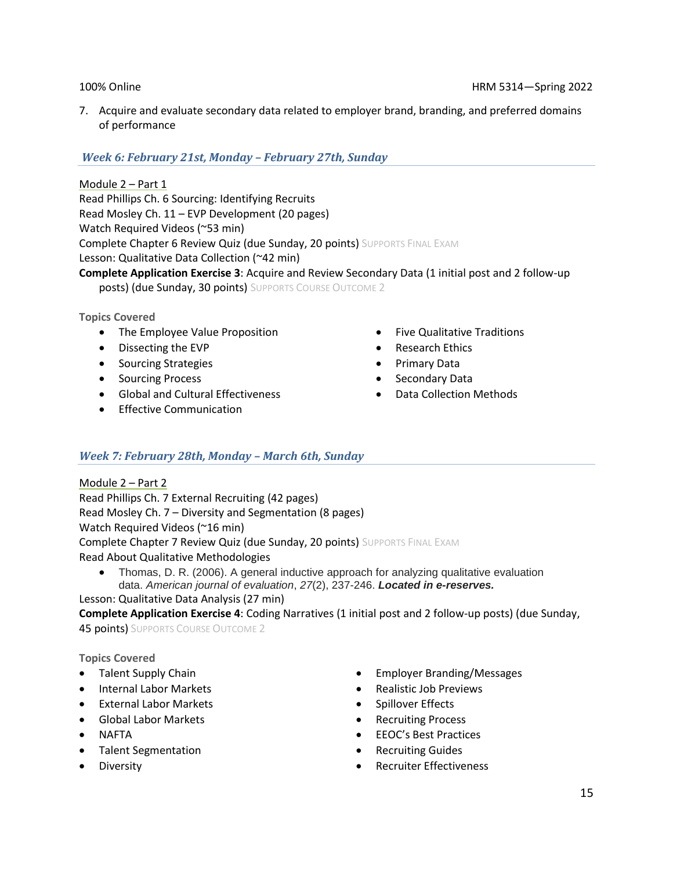7. Acquire and evaluate secondary data related to employer brand, branding, and preferred domains of performance

### *Week 6: February 21st, Monday – February 27th, Sunday*

Module 2 – Part 1 Read Phillips Ch. 6 Sourcing: Identifying Recruits Read Mosley Ch. 11 – EVP Development (20 pages) Watch Required Videos (~53 min) Complete Chapter 6 Review Quiz (due Sunday, 20 points) SUPPORTS FINAL EXAM Lesson: Qualitative Data Collection (~42 min) **Complete Application Exercise 3**: Acquire and Review Secondary Data (1 initial post and 2 follow-up posts) (due Sunday, 30 points) SUPPORTS COURSE OUTCOME 2

#### **Topics Covered**

- The Employee Value Proposition
- Dissecting the EVP
- Sourcing Strategies
- Sourcing Process
- Global and Cultural Effectiveness
- Effective Communication
- Five Qualitative Traditions
- Research Ethics
- Primary Data
- Secondary Data
- Data Collection Methods

### *Week 7: February 28th, Monday – March 6th, Sunday*

Module 2 – Part 2 Read Phillips Ch. 7 External Recruiting (42 pages) Read Mosley Ch. 7 – Diversity and Segmentation (8 pages) Watch Required Videos (~16 min) Complete Chapter 7 Review Quiz (due Sunday, 20 points) SUPPORTS FINAL EXAM Read About Qualitative Methodologies

• Thomas, D. R. (2006). A general inductive approach for analyzing qualitative evaluation data. *American journal of evaluation*, *27*(2), 237-246. *Located in e-reserves.*

#### Lesson: Qualitative Data Analysis (27 min)

**Complete Application Exercise 4**: Coding Narratives (1 initial post and 2 follow-up posts) (due Sunday, **45 points)** SUPPORTS COURSE OUTCOME 2

#### **Topics Covered**

- Talent Supply Chain
- Internal Labor Markets
- External Labor Markets
- Global Labor Markets
- NAFTA
- Talent Segmentation
- Employer Branding/Messages
- Realistic Job Previews
- Spillover Effects
- Recruiting Process
- EEOC's Best Practices
- Recruiting Guides
- Recruiter Effectiveness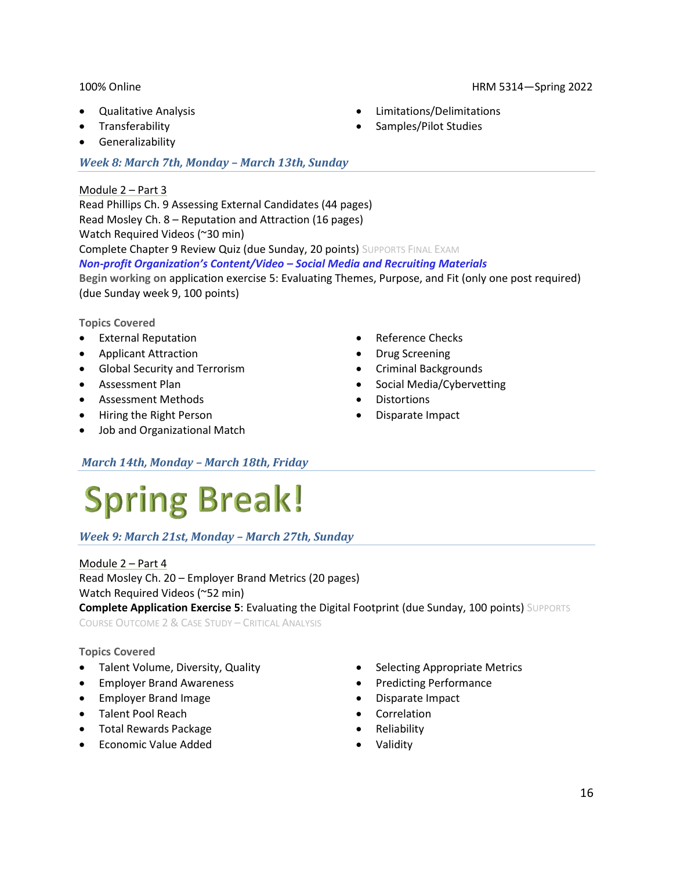- Qualitative Analysis
- **Transferability**
- Generalizability

#### *Week 8: March 7th, Monday – March 13th, Sunday*

#### Module 2 – Part 3

Read Phillips Ch. 9 Assessing External Candidates (44 pages) Read Mosley Ch. 8 – Reputation and Attraction (16 pages) Watch Required Videos (~30 min) Complete Chapter 9 Review Quiz (due Sunday, 20 points) SUPPORTS FINAL EXAM *Non-profit Organization's Content/Video – Social Media and Recruiting Materials* **Begin working on** application exercise 5: Evaluating Themes, Purpose, and Fit (only one post required) (due Sunday week 9, 100 points)

#### **Topics Covered**

- External Reputation
- Applicant Attraction
- Global Security and Terrorism
- Assessment Plan
- Assessment Methods
- Hiring the Right Person
- Job and Organizational Match
- Reference Checks
- Drug Screening
- Criminal Backgrounds
- Social Media/Cybervetting
- **Distortions**
- Disparate Impact

### *March 14th, Monday – March 18th, Friday*

# **Spring Break!**

### *Week 9: March 21st, Monday – March 27th, Sunday*

Module 2 – Part 4 Read Mosley Ch. 20 – Employer Brand Metrics (20 pages) Watch Required Videos (~52 min) **Complete Application Exercise 5**: Evaluating the Digital Footprint (due Sunday, 100 points) SUPPORTS COURSE OUTCOME 2 & CASE STUDY – CRITICAL ANALYSIS

#### **Topics Covered**

- Talent Volume, Diversity, Quality
- Employer Brand Awareness
- Employer Brand Image
- Talent Pool Reach
- Total Rewards Package
- Economic Value Added
- Selecting Appropriate Metrics
- Predicting Performance
- Disparate Impact
- Correlation
- Reliability
- Validity

#### 100% Online HRM 5314—Spring 2022

- Limitations/Delimitations
- Samples/Pilot Studies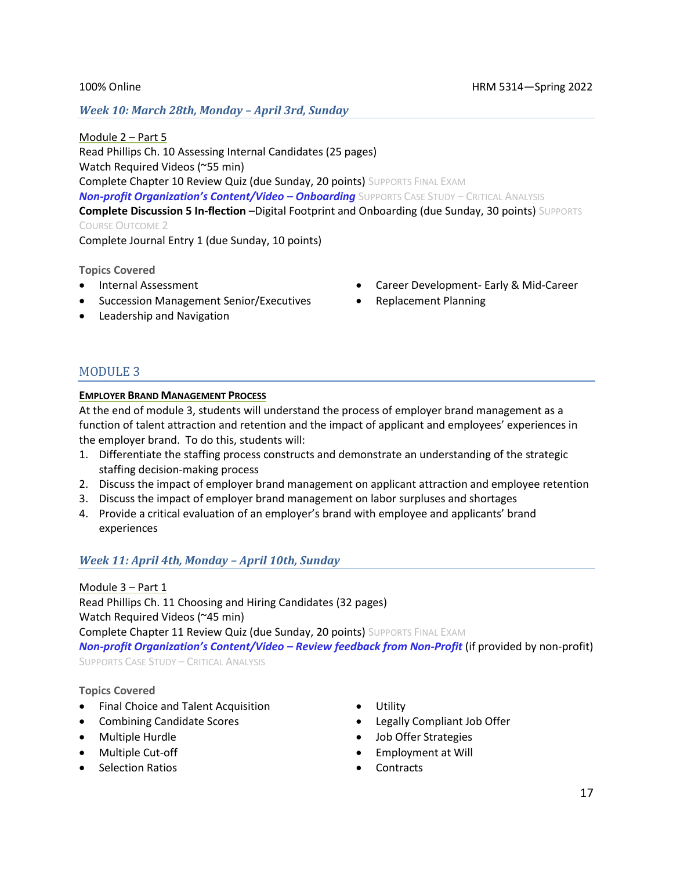*Week 10: March 28th, Monday – April 3rd, Sunday*

Module 2 – Part 5 Read Phillips Ch. 10 Assessing Internal Candidates (25 pages) Watch Required Videos (~55 min) Complete Chapter 10 Review Quiz (due Sunday, 20 points) SUPPORTS FINAL EXAM *Non-profit Organization's Content/Video – Onboarding* SUPPORTS CASE STUDY – CRITICAL ANALYSIS **Complete Discussion 5 In-flection** –Digital Footprint and Onboarding (due Sunday, 30 points) SUPPORTS COURSE OUTCOME 2

Complete Journal Entry 1 (due Sunday, 10 points)

**Topics Covered**

- Internal Assessment
- Succession Management Senior/Executives
- Leadership and Navigation
- Career Development- Early & Mid-Career
- Replacement Planning

### MODULE 3

#### **EMPLOYER BRAND MANAGEMENT PROCESS**

At the end of module 3, students will understand the process of employer brand management as a function of talent attraction and retention and the impact of applicant and employees' experiences in the employer brand. To do this, students will:

- 1. Differentiate the staffing process constructs and demonstrate an understanding of the strategic staffing decision-making process
- 2. Discuss the impact of employer brand management on applicant attraction and employee retention
- 3. Discuss the impact of employer brand management on labor surpluses and shortages
- 4. Provide a critical evaluation of an employer's brand with employee and applicants' brand experiences

#### *Week 11: April 4th, Monday – April 10th, Sunday*

Module 3 – Part 1 Read Phillips Ch. 11 Choosing and Hiring Candidates (32 pages) Watch Required Videos (~45 min) Complete Chapter 11 Review Quiz (due Sunday, 20 points) SUPPORTS FINAL EXAM *Non-profit Organization's Content/Video – Review feedback from Non-Profit* (if provided by non-profit) SUPPORTS CASE STUDY – CRITICAL ANALYSIS

**Topics Covered**

- Final Choice and Talent Acquisition
- Combining Candidate Scores
- Multiple Hurdle
- Multiple Cut-off
- Selection Ratios
- Utility
- Legally Compliant Job Offer
- Job Offer Strategies
- Employment at Will
- **Contracts**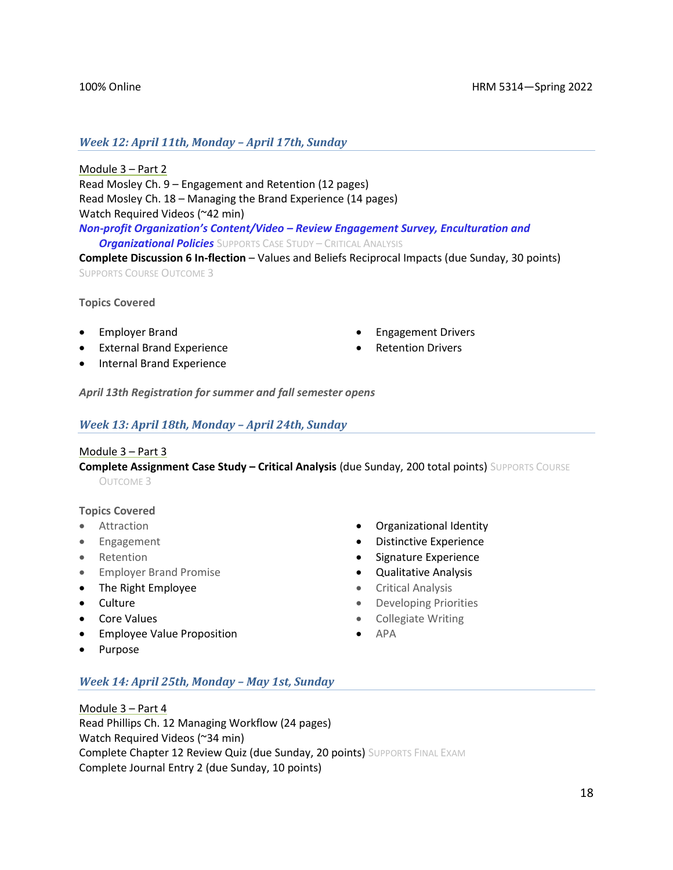#### 100% Online HRM 5314—Spring 2022

#### *Week 12: April 11th, Monday – April 17th, Sunday*

Module 3 – Part 2 Read Mosley Ch. 9 – Engagement and Retention (12 pages) Read Mosley Ch. 18 – Managing the Brand Experience (14 pages) Watch Required Videos (~42 min)

*Non-profit Organization's Content/Video – Review Engagement Survey, Enculturation and Organizational Policies* SUPPORTS CASE STUDY – CRITICAL ANALYSIS

**Complete Discussion 6 In-flection** – Values and Beliefs Reciprocal Impacts (due Sunday, 30 points) SUPPORTS COURSE OUTCOME 3

**Topics Covered**

- Employer Brand
- External Brand Experience
- Internal Brand Experience
- Engagement Drivers
- Retention Drivers

*April 13th Registration for summer and fall semester opens*

#### *Week 13: April 18th, Monday – April 24th, Sunday*

#### Module 3 – Part 3

**Complete Assignment Case Study – Critical Analysis** (due Sunday, 200 total points) SUPPORTS COURSE OUTCOME 3

#### **Topics Covered**

- Attraction
- Engagement
- Retention
- Employer Brand Promise
- The Right Employee
- Culture
- Core Values
- Employee Value Proposition
- Purpose
- Organizational Identity
- Distinctive Experience
- Signature Experience
- Qualitative Analysis
- Critical Analysis
- Developing Priorities
- Collegiate Writing
- APA

*Week 14: April 25th, Monday – May 1st, Sunday*

Module 3 – Part 4 Read Phillips Ch. 12 Managing Workflow (24 pages) Watch Required Videos (~34 min) Complete Chapter 12 Review Quiz (due Sunday, 20 points) SUPPORTS FINAL EXAM Complete Journal Entry 2 (due Sunday, 10 points)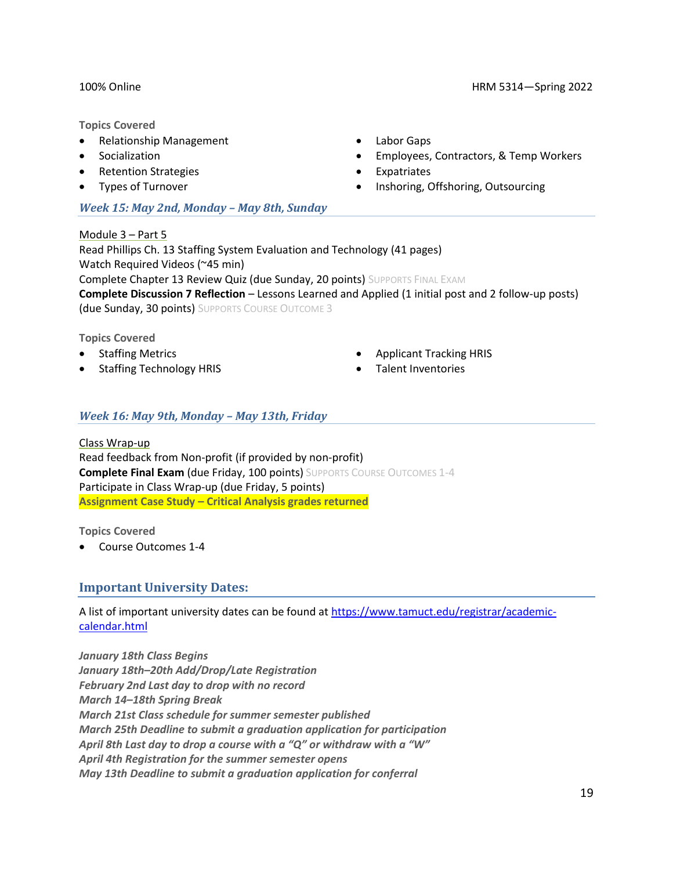#### 100% Online HRM 5314—Spring 2022

#### **Topics Covered**

- Relationship Management
- **Socialization**
- Retention Strategies
- Types of Turnover

#### *Week 15: May 2nd, Monday – May 8th, Sunday*

- Labor Gaps
- Employees, Contractors, & Temp Workers
- **Expatriates**
- Inshoring, Offshoring, Outsourcing

Module 3 – Part 5 Read Phillips Ch. 13 Staffing System Evaluation and Technology (41 pages) Watch Required Videos (~45 min) Complete Chapter 13 Review Quiz (due Sunday, 20 points) SUPPORTS FINAL EXAM **Complete Discussion 7 Reflection** – Lessons Learned and Applied (1 initial post and 2 follow-up posts) (due Sunday, 30 points) SUPPORTS COURSE OUTCOME 3

#### **Topics Covered**

- Staffing Metrics
- Staffing Technology HRIS
- Applicant Tracking HRIS
- Talent Inventories

#### *Week 16: May 9th, Monday – May 13th, Friday*

Class Wrap-up Read feedback from Non-profit (if provided by non-profit) **Complete Final Exam (due Friday, 100 points) SUPPORTS COURSE OUTCOMES 1-4** Participate in Class Wrap-up (due Friday, 5 points) **Assignment Case Study – Critical Analysis grades returned** 

**Topics Covered**

• Course Outcomes 1-4

#### **Important University Dates:**

A list of important university dates can be found at [https://www.tamuct.edu/registrar/academic](https://www.tamuct.edu/registrar/academic-calendar.html)[calendar.html](https://www.tamuct.edu/registrar/academic-calendar.html)

*January 18th Class Begins January 18th–20th Add/Drop/Late Registration February 2nd Last day to drop with no record March 14–18th Spring Break March 21st Class schedule for summer semester published March 25th Deadline to submit a graduation application for participation April 8th Last day to drop a course with a "Q" or withdraw with a "W" April 4th Registration for the summer semester opens May 13th Deadline to submit a graduation application for conferral*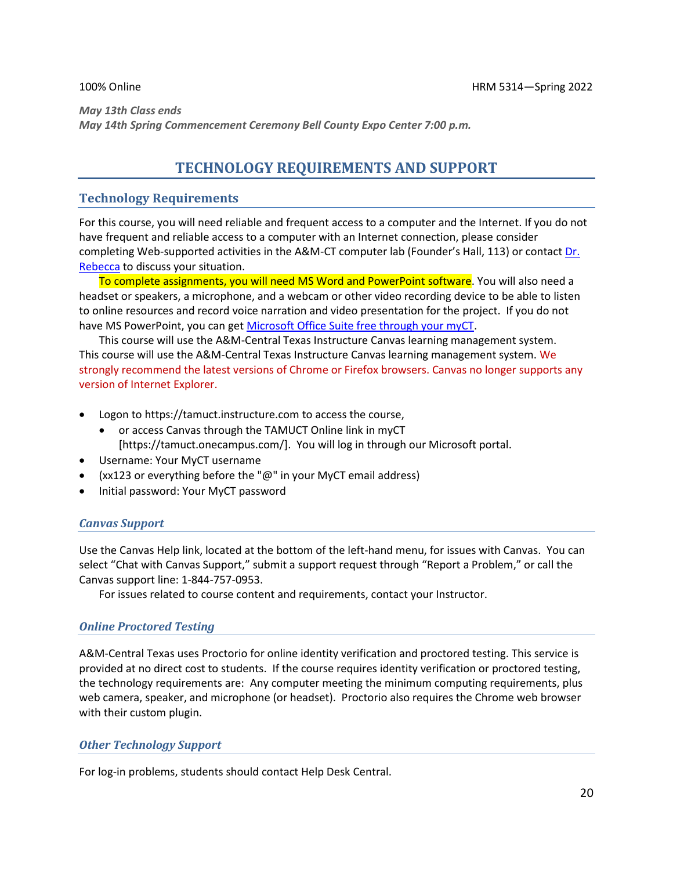*May 13th Class ends May 14th Spring Commencement Ceremony Bell County Expo Center 7:00 p.m.*

# **TECHNOLOGY REQUIREMENTS AND SUPPORT**

### **Technology Requirements**

For this course, you will need reliable and frequent access to a computer and the Internet. If you do not have frequent and reliable access to a computer with an Internet connection, please consider completing Web-supported activities in the A&M-CT computer lab (Founder's Hall, 113) or contact [Dr.](mailto:becca.mcpherson@tamuct.edu)  [Rebecca](mailto:becca.mcpherson@tamuct.edu) to discuss your situation.

To complete assignments, you will need MS Word and PowerPoint software. You will also need a headset or speakers, a microphone, and a webcam or other video recording device to be able to listen to online resources and record voice narration and video presentation for the project. If you do not have MS PowerPoint, you can get [Microsoft Office Suite free through your myCT.](https://www.tamuct.edu/departments/technology-enhanced-learning/online-learning.php)

This course will use the A&M-Central Texas Instructure Canvas learning management system. This course will use the A&M-Central Texas Instructure Canvas learning management system. We strongly recommend the latest versions of Chrome or Firefox browsers. Canvas no longer supports any version of Internet Explorer.

- Logon to https://tamuct.instructure.com to access the course,
	- or access Canvas through the TAMUCT Online link in myCT [https://tamuct.onecampus.com/]. You will log in through our Microsoft portal.
- Username: Your MyCT username
- (xx123 or everything before the " $@$ " in your MyCT email address)
- Initial password: Your MyCT password

### *Canvas Support*

Use the Canvas Help link, located at the bottom of the left-hand menu, for issues with Canvas. You can select "Chat with Canvas Support," submit a support request through "Report a Problem," or call the Canvas support line: 1-844-757-0953.

For issues related to course content and requirements, contact your Instructor.

#### *Online Proctored Testing*

A&M-Central Texas uses Proctorio for online identity verification and proctored testing. This service is provided at no direct cost to students. If the course requires identity verification or proctored testing, the technology requirements are: Any computer meeting the minimum computing requirements, plus web camera, speaker, and microphone (or headset). Proctorio also requires the Chrome web browser with their custom plugin.

#### *Other Technology Support*

For log-in problems, students should contact Help Desk Central.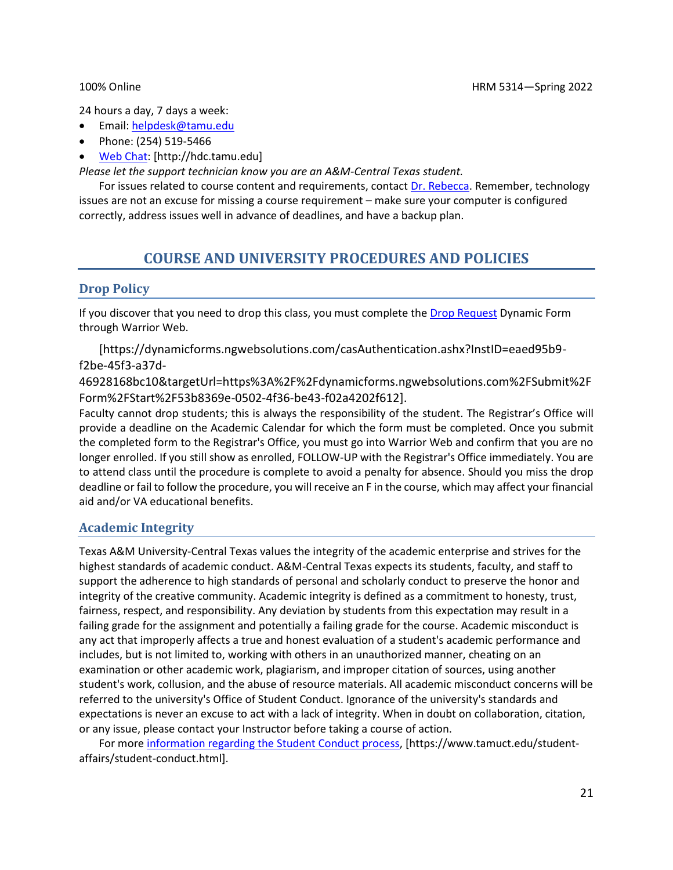24 hours a day, 7 days a week:

- Email: [helpdesk@tamu.edu](mailto:helpdesk@tamu.edu)
- Phone: (254) 519-5466
- [Web Chat:](http://hdc.tamu.edu/) [http://hdc.tamu.edu]

*Please let the support technician know you are an A&M-Central Texas student.*

For issues related to course content and requirements, contact [Dr. Rebecca.](mailto:becca.mcpherson@tamuct.edu) Remember, technology issues are not an excuse for missing a course requirement – make sure your computer is configured correctly, address issues well in advance of deadlines, and have a backup plan.

# **COURSE AND UNIVERSITY PROCEDURES AND POLICIES**

#### **Drop Policy**

If you discover that you need to drop this class, you must complete the [Drop Request](https://dynamicforms.ngwebsolutions.com/casAuthentication.ashx?InstID=eaed95b9-f2be-45f3-a37d-46928168bc10&targetUrl=https%3A%2F%2Fdynamicforms.ngwebsolutions.com%2FSubmit%2FForm%2FStart%2F53b8369e-0502-4f36-be43-f02a4202f612) Dynamic Form through Warrior Web.

[https://dynamicforms.ngwebsolutions.com/casAuthentication.ashx?InstID=eaed95b9 f2be-45f3-a37d-

46928168bc10&targetUrl=https%3A%2F%2Fdynamicforms.ngwebsolutions.com%2FSubmit%2F Form%2FStart%2F53b8369e-0502-4f36-be43-f02a4202f612].

Faculty cannot drop students; this is always the responsibility of the student. The Registrar's Office will provide a deadline on the Academic Calendar for which the form must be completed. Once you submit the completed form to the Registrar's Office, you must go into Warrior Web and confirm that you are no longer enrolled. If you still show as enrolled, FOLLOW-UP with the Registrar's Office immediately. You are to attend class until the procedure is complete to avoid a penalty for absence. Should you miss the drop deadline or fail to follow the procedure, you will receive an F in the course, which may affect your financial aid and/or VA educational benefits.

### **Academic Integrity**

Texas A&M University-Central Texas values the integrity of the academic enterprise and strives for the highest standards of academic conduct. A&M-Central Texas expects its students, faculty, and staff to support the adherence to high standards of personal and scholarly conduct to preserve the honor and integrity of the creative community. Academic integrity is defined as a commitment to honesty, trust, fairness, respect, and responsibility. Any deviation by students from this expectation may result in a failing grade for the assignment and potentially a failing grade for the course. Academic misconduct is any act that improperly affects a true and honest evaluation of a student's academic performance and includes, but is not limited to, working with others in an unauthorized manner, cheating on an examination or other academic work, plagiarism, and improper citation of sources, using another student's work, collusion, and the abuse of resource materials. All academic misconduct concerns will be referred to the university's Office of Student Conduct. Ignorance of the university's standards and expectations is never an excuse to act with a lack of integrity. When in doubt on collaboration, citation, or any issue, please contact your Instructor before taking a course of action.

For mor[e information regarding the Student Conduct process,](https://www.tamuct.edu/student-affairs/student-conduct.html) [https://www.tamuct.edu/studentaffairs/student-conduct.html].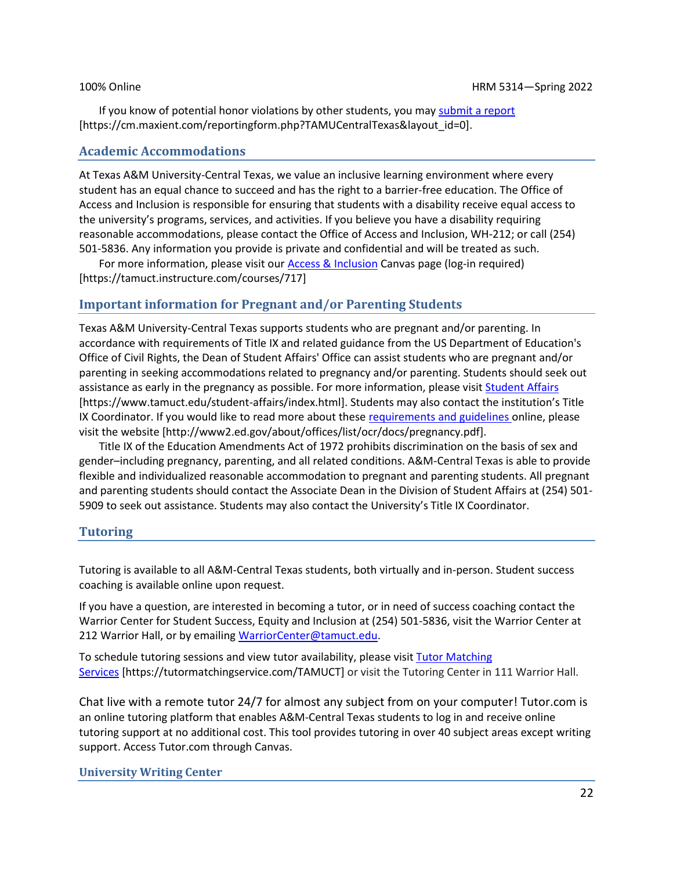If you know of potential honor violations by other students, you may [submit a report](https://cm.maxient.com/reportingform.php?TAMUCentralTexas&layout_id=0) [https://cm.maxient.com/reportingform.php?TAMUCentralTexas&layout\_id=0].

#### **Academic Accommodations**

At Texas A&M University-Central Texas, we value an inclusive learning environment where every student has an equal chance to succeed and has the right to a barrier-free education. The Office of Access and Inclusion is responsible for ensuring that students with a disability receive equal access to the university's programs, services, and activities. If you believe you have a disability requiring reasonable accommodations, please contact the Office of Access and Inclusion, WH-212; or call (254) 501-5836. Any information you provide is private and confidential and will be treated as such.

For more information, please visit our **Access & Inclusion Canvas page (log-in required)** [https://tamuct.instructure.com/courses/717]

#### **Important information for Pregnant and/or Parenting Students**

Texas A&M University-Central Texas supports students who are pregnant and/or parenting. In accordance with requirements of Title IX and related guidance from the US Department of Education's Office of Civil Rights, the Dean of Student Affairs' Office can assist students who are pregnant and/or parenting in seeking accommodations related to pregnancy and/or parenting. Students should seek out assistance as early in the pregnancy as possible. For more information, please visi[t Student Affairs](https://www.tamuct.edu/student-affairs/index.html) [https://www.tamuct.edu/student-affairs/index.html]. Students may also contact the institution's Title IX Coordinator. If you would like to read more about these [requirements and guidelines](http://www2.ed.gov/about/offices/list/ocr/docs/pregnancy.pdf) online, please visit the website [http://www2.ed.gov/about/offices/list/ocr/docs/pregnancy.pdf].

Title IX of the Education Amendments Act of 1972 prohibits discrimination on the basis of sex and gender–including pregnancy, parenting, and all related conditions. A&M-Central Texas is able to provide flexible and individualized reasonable accommodation to pregnant and parenting students. All pregnant and parenting students should contact the Associate Dean in the Division of Student Affairs at (254) 501- 5909 to seek out assistance. Students may also contact the University's Title IX Coordinator.

#### **Tutoring**

Tutoring is available to all A&M-Central Texas students, both virtually and in-person. Student success coaching is available online upon request.

If you have a question, are interested in becoming a tutor, or in need of success coaching contact the Warrior Center for Student Success, Equity and Inclusion at (254) 501-5836, visit the Warrior Center at 212 Warrior Hall, or by emailing [WarriorCenter@tamuct.edu.](mailto:WarriorCenter@tamuct.edu)

To schedule tutoring sessions and view tutor availability, please visit Tutor [Matching](https://tutormatchingservice.com/TAMUCT) [Services](https://tutormatchingservice.com/TAMUCT) [https://tutormatchingservice.com/TAMUCT] or visit the Tutoring Center in 111 Warrior Hall.

Chat live with a remote tutor 24/7 for almost any subject from on your computer! Tutor.com is an online tutoring platform that enables A&M-Central Texas students to log in and receive online tutoring support at no additional cost. This tool provides tutoring in over 40 subject areas except writing support. Access Tutor.com through Canvas.

#### **University Writing Center**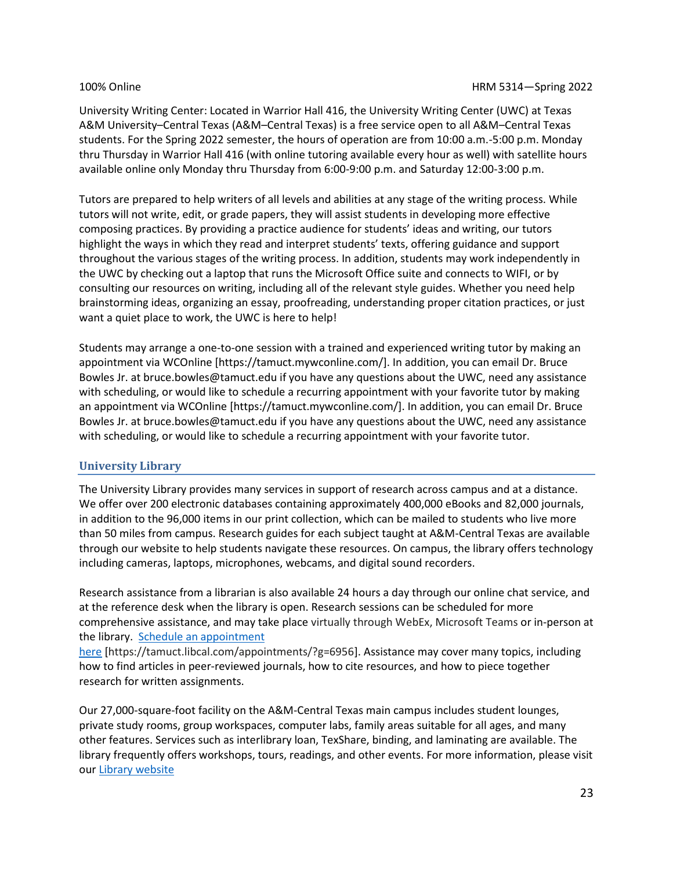University Writing Center: Located in Warrior Hall 416, the University Writing Center (UWC) at Texas A&M University–Central Texas (A&M–Central Texas) is a free service open to all A&M–Central Texas students. For the Spring 2022 semester, the hours of operation are from 10:00 a.m.-5:00 p.m. Monday thru Thursday in Warrior Hall 416 (with online tutoring available every hour as well) with satellite hours available online only Monday thru Thursday from 6:00-9:00 p.m. and Saturday 12:00-3:00 p.m.

Tutors are prepared to help writers of all levels and abilities at any stage of the writing process. While tutors will not write, edit, or grade papers, they will assist students in developing more effective composing practices. By providing a practice audience for students' ideas and writing, our tutors highlight the ways in which they read and interpret students' texts, offering guidance and support throughout the various stages of the writing process. In addition, students may work independently in the UWC by checking out a laptop that runs the Microsoft Office suite and connects to WIFI, or by consulting our resources on writing, including all of the relevant style guides. Whether you need help brainstorming ideas, organizing an essay, proofreading, understanding proper citation practices, or just want a quiet place to work, the UWC is here to help!

Students may arrange a one-to-one session with a trained and experienced writing tutor by making an appointment via WCOnline [https://tamuct.mywconline.com/]. In addition, you can email Dr. Bruce Bowles Jr. at bruce.bowles@tamuct.edu if you have any questions about the UWC, need any assistance with scheduling, or would like to schedule a recurring appointment with your favorite tutor by making an appointment via WCOnline [https://tamuct.mywconline.com/]. In addition, you can email Dr. Bruce Bowles Jr. at bruce.bowles@tamuct.edu if you have any questions about the UWC, need any assistance with scheduling, or would like to schedule a recurring appointment with your favorite tutor.

#### **University Library**

<span id="page-22-0"></span>The University Library provides many services in support of research across campus and at a distance. We offer over 200 electronic databases containing approximately 400,000 eBooks and 82,000 journals, in addition to the 96,000 items in our print collection, which can be mailed to students who live more than 50 miles from campus. Research guides for each subject taught at A&M-Central Texas are available through our website to help students navigate these resources. On campus, the library offers technology including cameras, laptops, microphones, webcams, and digital sound recorders.

Research assistance from a librarian is also available 24 hours a day through our online chat service, and at the reference desk when the library is open. Research sessions can be scheduled for more comprehensive assistance, and may take place virtually through WebEx, Microsoft Teams or in-person at the library. Schedule an [appointment](https://nam04.safelinks.protection.outlook.com/?url=https%3A%2F%2Ftamuct.libcal.com%2Fappointments%2F%3Fg%3D6956&data=04%7C01%7Clisa.bunkowski%40tamuct.edu%7Cde2c07d9f5804f09518008d9ab7ba6ff%7C9eed4e3000f744849ff193ad8005acec%7C0%7C0%7C637729369835011558%7CUnknown%7CTWFpbGZsb3d8eyJWIjoiMC4wLjAwMDAiLCJQIjoiV2luMzIiLCJBTiI6Ik1haWwiLCJXVCI6Mn0%3D%7C3000&sdata=KhtjgRSAw9aq%2FoBsB6wyu8b7PSuGN5EGPypzr3Ty2No%3D&reserved=0)

[here](https://nam04.safelinks.protection.outlook.com/?url=https%3A%2F%2Ftamuct.libcal.com%2Fappointments%2F%3Fg%3D6956&data=04%7C01%7Clisa.bunkowski%40tamuct.edu%7Cde2c07d9f5804f09518008d9ab7ba6ff%7C9eed4e3000f744849ff193ad8005acec%7C0%7C0%7C637729369835011558%7CUnknown%7CTWFpbGZsb3d8eyJWIjoiMC4wLjAwMDAiLCJQIjoiV2luMzIiLCJBTiI6Ik1haWwiLCJXVCI6Mn0%3D%7C3000&sdata=KhtjgRSAw9aq%2FoBsB6wyu8b7PSuGN5EGPypzr3Ty2No%3D&reserved=0) [https://tamuct.libcal.com/appointments/?g=6956]. Assistance may cover many topics, including how to find articles in peer-reviewed journals, how to cite resources, and how to piece together research for written assignments.

Our 27,000-square-foot facility on the A&M-Central Texas main campus includes student lounges, private study rooms, group workspaces, computer labs, family areas suitable for all ages, and many other features. Services such as interlibrary loan, TexShare, binding, and laminating are available. The library frequently offers workshops, tours, readings, and other events. For more information, please visit our Library [website](https://nam04.safelinks.protection.outlook.com/?url=https%3A%2F%2Ftamuct.libguides.com%2Findex&data=04%7C01%7Clisa.bunkowski%40tamuct.edu%7C7d8489e8839a4915335f08d916f067f2%7C9eed4e3000f744849ff193ad8005acec%7C0%7C0%7C637566044056484222%7CUnknown%7CTWFpbGZsb3d8eyJWIjoiMC4wLjAwMDAiLCJQIjoiV2luMzIiLCJBTiI6Ik1haWwiLCJXVCI6Mn0%3D%7C1000&sdata=2R755V6rcIyedGrd4Os5rkgn1PvhHKU3kUV1vBKiHFo%3D&reserved=0)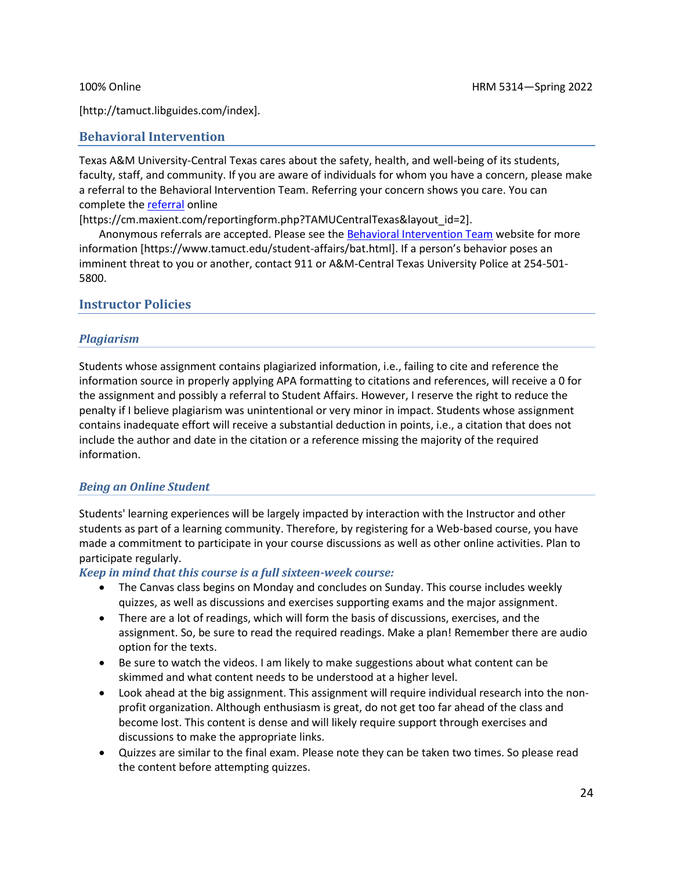[http://tamuct.libguides.com/index].

#### **Behavioral Intervention**

Texas A&M University-Central Texas cares about the safety, health, and well-being of its students, faculty, staff, and community. If you are aware of individuals for whom you have a concern, please make a referral to the Behavioral Intervention Team. Referring your concern shows you care. You can complete the [referral](https://cm.maxient.com/reportingform.php?TAMUCentralTexas&layout_id=2) online

[https://cm.maxient.com/reportingform.php?TAMUCentralTexas&layout\_id=2].

Anonymous referrals are accepted. Please see th[e Behavioral Intervention Team](https://www.tamuct.edu/student-affairs/bat.html) website for more information [https://www.tamuct.edu/student-affairs/bat.html]. If a person's behavior poses an imminent threat to you or another, contact 911 or A&M-Central Texas University Police at 254-501- 5800.

#### **Instructor Policies**

#### *Plagiarism*

Students whose assignment contains plagiarized information, i.e., failing to cite and reference the information source in properly applying APA formatting to citations and references, will receive a 0 for the assignment and possibly a referral to Student Affairs. However, I reserve the right to reduce the penalty if I believe plagiarism was unintentional or very minor in impact. Students whose assignment contains inadequate effort will receive a substantial deduction in points, i.e., a citation that does not include the author and date in the citation or a reference missing the majority of the required information.

#### *Being an Online Student*

Students' learning experiences will be largely impacted by interaction with the Instructor and other students as part of a learning community. Therefore, by registering for a Web-based course, you have made a commitment to participate in your course discussions as well as other online activities. Plan to participate regularly.

#### *Keep in mind that this course is a full sixteen-week course:*

- The Canvas class begins on Monday and concludes on Sunday. This course includes weekly quizzes, as well as discussions and exercises supporting exams and the major assignment.
- There are a lot of readings, which will form the basis of discussions, exercises, and the assignment. So, be sure to read the required readings. Make a plan! Remember there are audio option for the texts.
- Be sure to watch the videos. I am likely to make suggestions about what content can be skimmed and what content needs to be understood at a higher level.
- Look ahead at the big assignment. This assignment will require individual research into the nonprofit organization. Although enthusiasm is great, do not get too far ahead of the class and become lost. This content is dense and will likely require support through exercises and discussions to make the appropriate links.
- Quizzes are similar to the final exam. Please note they can be taken two times. So please read the content before attempting quizzes.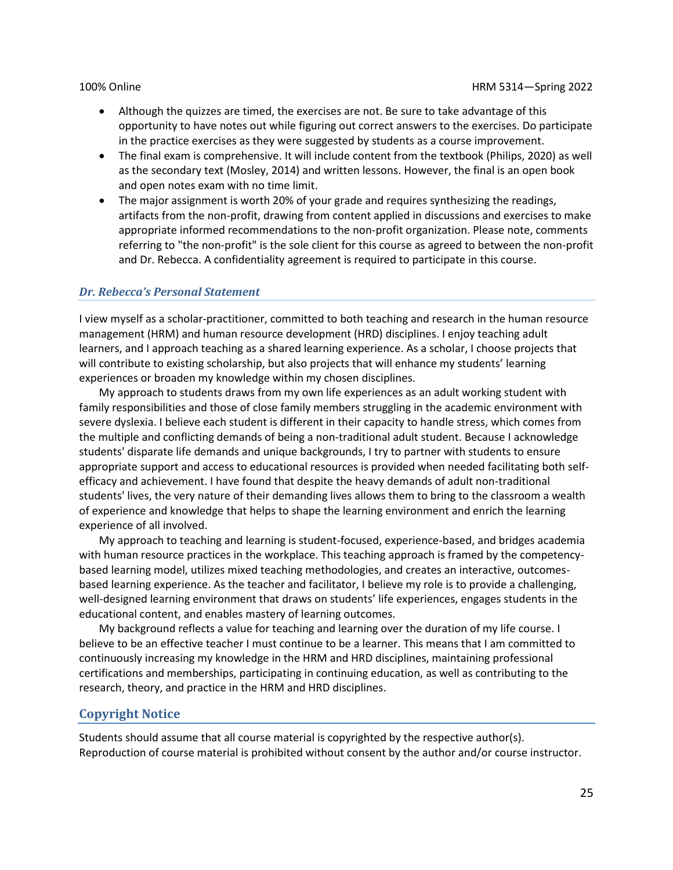- Although the quizzes are timed, the exercises are not. Be sure to take advantage of this opportunity to have notes out while figuring out correct answers to the exercises. Do participate in the practice exercises as they were suggested by students as a course improvement.
- The final exam is comprehensive. It will include content from the textbook (Philips, 2020) as well as the secondary text (Mosley, 2014) and written lessons. However, the final is an open book and open notes exam with no time limit.
- The major assignment is worth 20% of your grade and requires synthesizing the readings, artifacts from the non-profit, drawing from content applied in discussions and exercises to make appropriate informed recommendations to the non-profit organization. Please note, comments referring to "the non-profit" is the sole client for this course as agreed to between the non-profit and Dr. Rebecca. A confidentiality agreement is required to participate in this course.

#### *Dr. Rebecca's Personal Statement*

I view myself as a scholar-practitioner, committed to both teaching and research in the human resource management (HRM) and human resource development (HRD) disciplines. I enjoy teaching adult learners, and I approach teaching as a shared learning experience. As a scholar, I choose projects that will contribute to existing scholarship, but also projects that will enhance my students' learning experiences or broaden my knowledge within my chosen disciplines.

My approach to students draws from my own life experiences as an adult working student with family responsibilities and those of close family members struggling in the academic environment with severe dyslexia. I believe each student is different in their capacity to handle stress, which comes from the multiple and conflicting demands of being a non-traditional adult student. Because I acknowledge students' disparate life demands and unique backgrounds, I try to partner with students to ensure appropriate support and access to educational resources is provided when needed facilitating both selfefficacy and achievement. I have found that despite the heavy demands of adult non-traditional students' lives, the very nature of their demanding lives allows them to bring to the classroom a wealth of experience and knowledge that helps to shape the learning environment and enrich the learning experience of all involved.

My approach to teaching and learning is student-focused, experience-based, and bridges academia with human resource practices in the workplace. This teaching approach is framed by the competencybased learning model, utilizes mixed teaching methodologies, and creates an interactive, outcomesbased learning experience. As the teacher and facilitator, I believe my role is to provide a challenging, well-designed learning environment that draws on students' life experiences, engages students in the educational content, and enables mastery of learning outcomes.

My background reflects a value for teaching and learning over the duration of my life course. I believe to be an effective teacher I must continue to be a learner. This means that I am committed to continuously increasing my knowledge in the HRM and HRD disciplines, maintaining professional certifications and memberships, participating in continuing education, as well as contributing to the research, theory, and practice in the HRM and HRD disciplines.

### **Copyright Notice**

Students should assume that all course material is copyrighted by the respective author(s). Reproduction of course material is prohibited without consent by the author and/or course instructor.